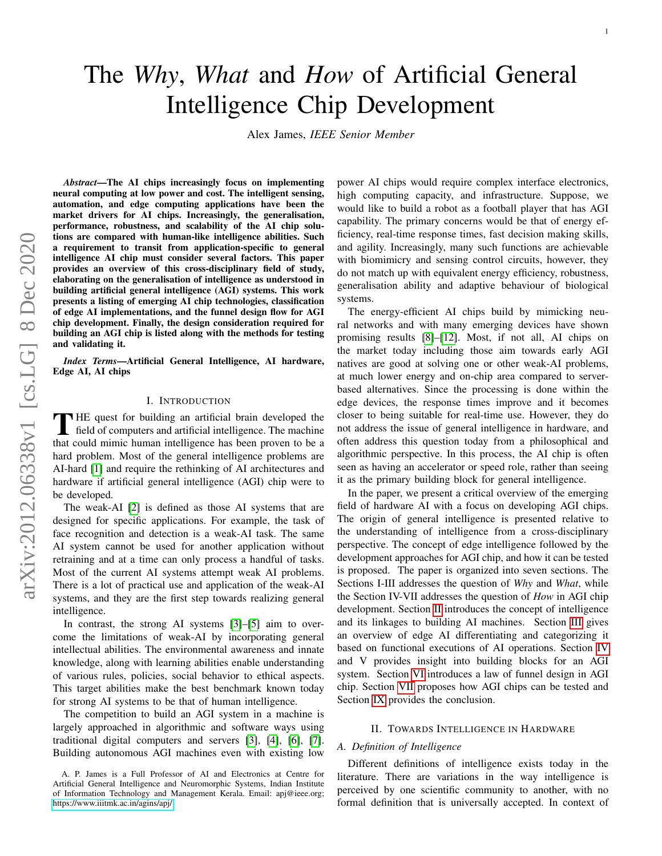# The *Why*, *What* and *How* of Artificial General Intelligence Chip Development

Alex James, *IEEE Senior Member*

*Abstract*—The AI chips increasingly focus on implementing neural computing at low power and cost. The intelligent sensing, automation, and edge computing applications have been the market drivers for AI chips. Increasingly, the generalisation, performance, robustness, and scalability of the AI chip solutions are compared with human-like intelligence abilities. Such a requirement to transit from application-specific to general intelligence AI chip must consider several factors. This paper provides an overview of this cross-disciplinary field of study, elaborating on the generalisation of intelligence as understood in building artificial general intelligence (AGI) systems. This work presents a listing of emerging AI chip technologies, classification of edge AI implementations, and the funnel design flow for AGI chip development. Finally, the design consideration required for building an AGI chip is listed along with the methods for testing and validating it.

*Index Terms*—Artificial General Intelligence, AI hardware, Edge AI, AI chips

#### I. INTRODUCTION

THE quest for building an artificial brain developed the field of computers and artificial intelligence. The machine field of computers and artificial intelligence. The machine that could mimic human intelligence has been proven to be a hard problem. Most of the general intelligence problems are AI-hard [\[1\]](#page-10-0) and require the rethinking of AI architectures and hardware if artificial general intelligence (AGI) chip were to be developed.

The weak-AI [\[2\]](#page-10-1) is defined as those AI systems that are designed for specific applications. For example, the task of face recognition and detection is a weak-AI task. The same AI system cannot be used for another application without retraining and at a time can only process a handful of tasks. Most of the current AI systems attempt weak AI problems. There is a lot of practical use and application of the weak-AI systems, and they are the first step towards realizing general intelligence.

In contrast, the strong AI systems [\[3\]](#page-10-2)–[\[5\]](#page-10-3) aim to overcome the limitations of weak-AI by incorporating general intellectual abilities. The environmental awareness and innate knowledge, along with learning abilities enable understanding of various rules, policies, social behavior to ethical aspects. This target abilities make the best benchmark known today for strong AI systems to be that of human intelligence.

The competition to build an AGI system in a machine is largely approached in algorithmic and software ways using traditional digital computers and servers [\[3\]](#page-10-2), [\[4\]](#page-10-4), [\[6\]](#page-10-5), [\[7\]](#page-10-6). Building autonomous AGI machines even with existing low power AI chips would require complex interface electronics, high computing capacity, and infrastructure. Suppose, we would like to build a robot as a football player that has AGI capability. The primary concerns would be that of energy efficiency, real-time response times, fast decision making skills, and agility. Increasingly, many such functions are achievable with biomimicry and sensing control circuits, however, they do not match up with equivalent energy efficiency, robustness, generalisation ability and adaptive behaviour of biological systems.

The energy-efficient AI chips build by mimicking neural networks and with many emerging devices have shown promising results [\[8\]](#page-10-7)–[\[12\]](#page-11-0). Most, if not all, AI chips on the market today including those aim towards early AGI natives are good at solving one or other weak-AI problems, at much lower energy and on-chip area compared to serverbased alternatives. Since the processing is done within the edge devices, the response times improve and it becomes closer to being suitable for real-time use. However, they do not address the issue of general intelligence in hardware, and often address this question today from a philosophical and algorithmic perspective. In this process, the AI chip is often seen as having an accelerator or speed role, rather than seeing it as the primary building block for general intelligence.

In the paper, we present a critical overview of the emerging field of hardware AI with a focus on developing AGI chips. The origin of general intelligence is presented relative to the understanding of intelligence from a cross-disciplinary perspective. The concept of edge intelligence followed by the development approaches for AGI chip, and how it can be tested is proposed. The paper is organized into seven sections. The Sections I-III addresses the question of *Why* and *What*, while the Section IV-VII addresses the question of *How* in AGI chip development. Section [II](#page-0-0) introduces the concept of intelligence and its linkages to building AI machines. Section [III](#page-3-0) gives an overview of edge AI differentiating and categorizing it based on functional executions of AI operations. Section [IV](#page-5-0) and V provides insight into building blocks for an AGI system. Section [VI](#page-7-0) introduces a law of funnel design in AGI chip. Section [VII](#page-8-0) proposes how AGI chips can be tested and Section [IX](#page-10-8) provides the conclusion.

#### II. TOWARDS INTELLIGENCE IN HARDWARE

#### <span id="page-0-0"></span>*A. Definition of Intelligence*

Different definitions of intelligence exists today in the literature. There are variations in the way intelligence is perceived by one scientific community to another, with no formal definition that is universally accepted. In context of

A. P. James is a Full Professor of AI and Electronics at Centre for Artificial General Intelligence and Neuromorphic Systems, Indian Institute of Information Technology and Management Kerala. Email: apj@ieee.org; <https://www.iiitmk.ac.in/agins/apj/>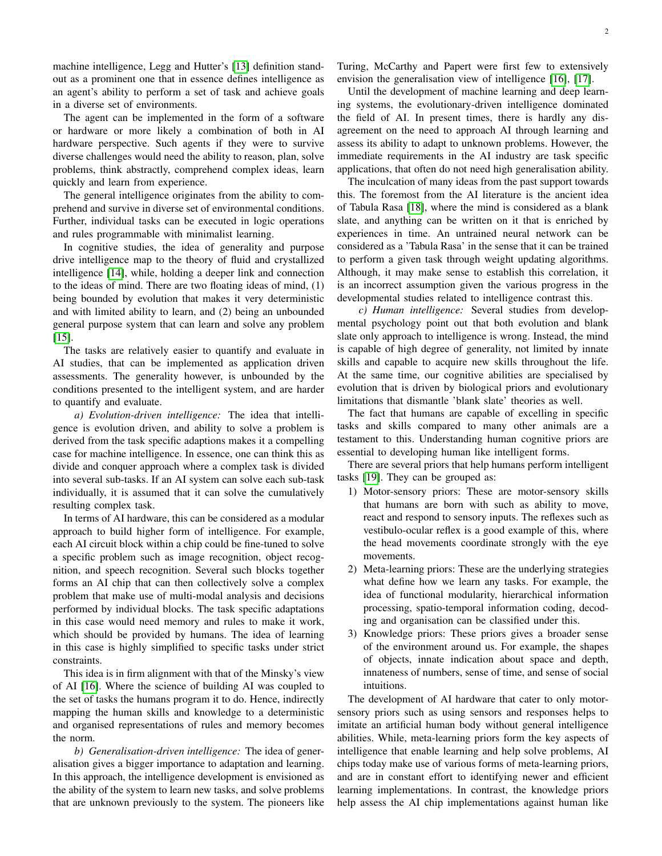machine intelligence, Legg and Hutter's [\[13\]](#page-11-1) definition standout as a prominent one that in essence defines intelligence as an agent's ability to perform a set of task and achieve goals in a diverse set of environments.

The agent can be implemented in the form of a software or hardware or more likely a combination of both in AI hardware perspective. Such agents if they were to survive diverse challenges would need the ability to reason, plan, solve problems, think abstractly, comprehend complex ideas, learn quickly and learn from experience.

The general intelligence originates from the ability to comprehend and survive in diverse set of environmental conditions. Further, individual tasks can be executed in logic operations and rules programmable with minimalist learning.

In cognitive studies, the idea of generality and purpose drive intelligence map to the theory of fluid and crystallized intelligence [\[14\]](#page-11-2), while, holding a deeper link and connection to the ideas of mind. There are two floating ideas of mind, (1) being bounded by evolution that makes it very deterministic and with limited ability to learn, and (2) being an unbounded general purpose system that can learn and solve any problem [\[15\]](#page-11-3).

The tasks are relatively easier to quantify and evaluate in AI studies, that can be implemented as application driven assessments. The generality however, is unbounded by the conditions presented to the intelligent system, and are harder to quantify and evaluate.

*a) Evolution-driven intelligence:* The idea that intelligence is evolution driven, and ability to solve a problem is derived from the task specific adaptions makes it a compelling case for machine intelligence. In essence, one can think this as divide and conquer approach where a complex task is divided into several sub-tasks. If an AI system can solve each sub-task individually, it is assumed that it can solve the cumulatively resulting complex task.

In terms of AI hardware, this can be considered as a modular approach to build higher form of intelligence. For example, each AI circuit block within a chip could be fine-tuned to solve a specific problem such as image recognition, object recognition, and speech recognition. Several such blocks together forms an AI chip that can then collectively solve a complex problem that make use of multi-modal analysis and decisions performed by individual blocks. The task specific adaptations in this case would need memory and rules to make it work, which should be provided by humans. The idea of learning in this case is highly simplified to specific tasks under strict constraints.

This idea is in firm alignment with that of the Minsky's view of AI [\[16\]](#page-11-4). Where the science of building AI was coupled to the set of tasks the humans program it to do. Hence, indirectly mapping the human skills and knowledge to a deterministic and organised representations of rules and memory becomes the norm.

*b) Generalisation-driven intelligence:* The idea of generalisation gives a bigger importance to adaptation and learning. In this approach, the intelligence development is envisioned as the ability of the system to learn new tasks, and solve problems that are unknown previously to the system. The pioneers like Turing, McCarthy and Papert were first few to extensively envision the generalisation view of intelligence [\[16\]](#page-11-4), [\[17\]](#page-11-5).

Until the development of machine learning and deep learning systems, the evolutionary-driven intelligence dominated the field of AI. In present times, there is hardly any disagreement on the need to approach AI through learning and assess its ability to adapt to unknown problems. However, the immediate requirements in the AI industry are task specific applications, that often do not need high generalisation ability.

The inculcation of many ideas from the past support towards this. The foremost from the AI literature is the ancient idea of Tabula Rasa [\[18\]](#page-11-6), where the mind is considered as a blank slate, and anything can be written on it that is enriched by experiences in time. An untrained neural network can be considered as a 'Tabula Rasa' in the sense that it can be trained to perform a given task through weight updating algorithms. Although, it may make sense to establish this correlation, it is an incorrect assumption given the various progress in the developmental studies related to intelligence contrast this.

*c) Human intelligence:* Several studies from developmental psychology point out that both evolution and blank slate only approach to intelligence is wrong. Instead, the mind is capable of high degree of generality, not limited by innate skills and capable to acquire new skills throughout the life. At the same time, our cognitive abilities are specialised by evolution that is driven by biological priors and evolutionary limitations that dismantle 'blank slate' theories as well.

The fact that humans are capable of excelling in specific tasks and skills compared to many other animals are a testament to this. Understanding human cognitive priors are essential to developing human like intelligent forms.

There are several priors that help humans perform intelligent tasks [\[19\]](#page-11-7). They can be grouped as:

- 1) Motor-sensory priors: These are motor-sensory skills that humans are born with such as ability to move, react and respond to sensory inputs. The reflexes such as vestibulo-ocular reflex is a good example of this, where the head movements coordinate strongly with the eye movements.
- 2) Meta-learning priors: These are the underlying strategies what define how we learn any tasks. For example, the idea of functional modularity, hierarchical information processing, spatio-temporal information coding, decoding and organisation can be classified under this.
- 3) Knowledge priors: These priors gives a broader sense of the environment around us. For example, the shapes of objects, innate indication about space and depth, innateness of numbers, sense of time, and sense of social intuitions.

The development of AI hardware that cater to only motorsensory priors such as using sensors and responses helps to imitate an artificial human body without general intelligence abilities. While, meta-learning priors form the key aspects of intelligence that enable learning and help solve problems, AI chips today make use of various forms of meta-learning priors, and are in constant effort to identifying newer and efficient learning implementations. In contrast, the knowledge priors help assess the AI chip implementations against human like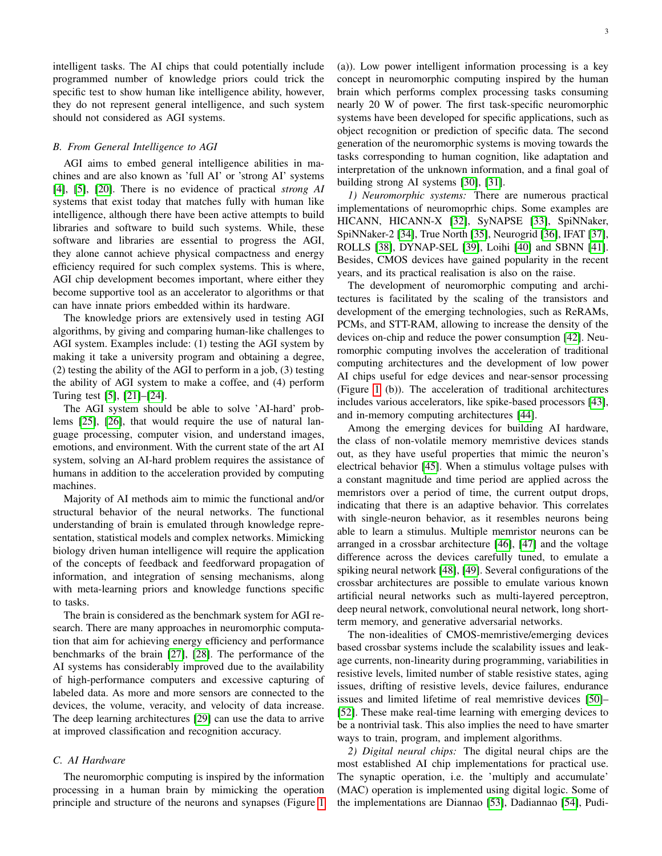intelligent tasks. The AI chips that could potentially include programmed number of knowledge priors could trick the specific test to show human like intelligence ability, however, they do not represent general intelligence, and such system should not considered as AGI systems.

#### *B. From General Intelligence to AGI*

AGI aims to embed general intelligence abilities in machines and are also known as 'full AI' or 'strong AI' systems [\[4\]](#page-10-4), [\[5\]](#page-10-3), [\[20\]](#page-11-8). There is no evidence of practical *strong AI* systems that exist today that matches fully with human like intelligence, although there have been active attempts to build libraries and software to build such systems. While, these software and libraries are essential to progress the AGI, they alone cannot achieve physical compactness and energy efficiency required for such complex systems. This is where, AGI chip development becomes important, where either they become supportive tool as an accelerator to algorithms or that can have innate priors embedded within its hardware.

The knowledge priors are extensively used in testing AGI algorithms, by giving and comparing human-like challenges to AGI system. Examples include: (1) testing the AGI system by making it take a university program and obtaining a degree, (2) testing the ability of the AGI to perform in a job, (3) testing the ability of AGI system to make a coffee, and (4) perform Turing test [\[5\]](#page-10-3), [\[21\]](#page-11-9)–[\[24\]](#page-11-10).

The AGI system should be able to solve 'AI-hard' problems [\[25\]](#page-11-11), [\[26\]](#page-11-12), that would require the use of natural language processing, computer vision, and understand images, emotions, and environment. With the current state of the art AI system, solving an AI-hard problem requires the assistance of humans in addition to the acceleration provided by computing machines.

Majority of AI methods aim to mimic the functional and/or structural behavior of the neural networks. The functional understanding of brain is emulated through knowledge representation, statistical models and complex networks. Mimicking biology driven human intelligence will require the application of the concepts of feedback and feedforward propagation of information, and integration of sensing mechanisms, along with meta-learning priors and knowledge functions specific to tasks.

The brain is considered as the benchmark system for AGI research. There are many approaches in neuromorphic computation that aim for achieving energy efficiency and performance benchmarks of the brain [\[27\]](#page-11-13), [\[28\]](#page-11-14). The performance of the AI systems has considerably improved due to the availability of high-performance computers and excessive capturing of labeled data. As more and more sensors are connected to the devices, the volume, veracity, and velocity of data increase. The deep learning architectures [\[29\]](#page-11-15) can use the data to arrive at improved classification and recognition accuracy.

## *C. AI Hardware*

The neuromorphic computing is inspired by the information processing in a human brain by mimicking the operation principle and structure of the neurons and synapses (Figure [1](#page-3-1) (a)). Low power intelligent information processing is a key concept in neuromorphic computing inspired by the human brain which performs complex processing tasks consuming nearly 20 W of power. The first task-specific neuromorphic systems have been developed for specific applications, such as object recognition or prediction of specific data. The second generation of the neuromorphic systems is moving towards the tasks corresponding to human cognition, like adaptation and interpretation of the unknown information, and a final goal of building strong AI systems [\[30\]](#page-11-16), [\[31\]](#page-11-17).

*1) Neuromorphic systems:* There are numerous practical implementations of neuromoprhic chips. Some examples are HICANN, HICANN-X [\[32\]](#page-11-18), SyNAPSE [\[33\]](#page-11-19), SpiNNaker, SpiNNaker-2 [\[34\]](#page-11-20), True North [\[35\]](#page-11-21), Neurogrid [\[36\]](#page-11-22), IFAT [\[37\]](#page-11-23), ROLLS [\[38\]](#page-11-24), DYNAP-SEL [\[39\]](#page-11-25), Loihi [\[40\]](#page-11-26) and SBNN [\[41\]](#page-11-27). Besides, CMOS devices have gained popularity in the recent years, and its practical realisation is also on the raise.

The development of neuromorphic computing and architectures is facilitated by the scaling of the transistors and development of the emerging technologies, such as ReRAMs, PCMs, and STT-RAM, allowing to increase the density of the devices on-chip and reduce the power consumption [\[42\]](#page-11-28). Neuromorphic computing involves the acceleration of traditional computing architectures and the development of low power AI chips useful for edge devices and near-sensor processing (Figure [1](#page-3-1) (b)). The acceleration of traditional architectures includes various accelerators, like spike-based processors [\[43\]](#page-11-29), and in-memory computing architectures [\[44\]](#page-11-30).

Among the emerging devices for building AI hardware, the class of non-volatile memory memristive devices stands out, as they have useful properties that mimic the neuron's electrical behavior [\[45\]](#page-11-31). When a stimulus voltage pulses with a constant magnitude and time period are applied across the memristors over a period of time, the current output drops, indicating that there is an adaptive behavior. This correlates with single-neuron behavior, as it resembles neurons being able to learn a stimulus. Multiple memristor neurons can be arranged in a crossbar architecture [\[46\]](#page-11-32), [\[47\]](#page-11-33) and the voltage difference across the devices carefully tuned, to emulate a spiking neural network [\[48\]](#page-11-34), [\[49\]](#page-11-35). Several configurations of the crossbar architectures are possible to emulate various known artificial neural networks such as multi-layered perceptron, deep neural network, convolutional neural network, long shortterm memory, and generative adversarial networks.

The non-idealities of CMOS-memristive/emerging devices based crossbar systems include the scalability issues and leakage currents, non-linearity during programming, variabilities in resistive levels, limited number of stable resistive states, aging issues, drifting of resistive levels, device failures, endurance issues and limited lifetime of real memristive devices [\[50\]](#page-11-36)– [\[52\]](#page-12-0). These make real-time learning with emerging devices to be a nontrivial task. This also implies the need to have smarter ways to train, program, and implement algorithms.

*2) Digital neural chips:* The digital neural chips are the most established AI chip implementations for practical use. The synaptic operation, i.e. the 'multiply and accumulate' (MAC) operation is implemented using digital logic. Some of the implementations are Diannao [\[53\]](#page-12-1), Dadiannao [\[54\]](#page-12-2), Pudi-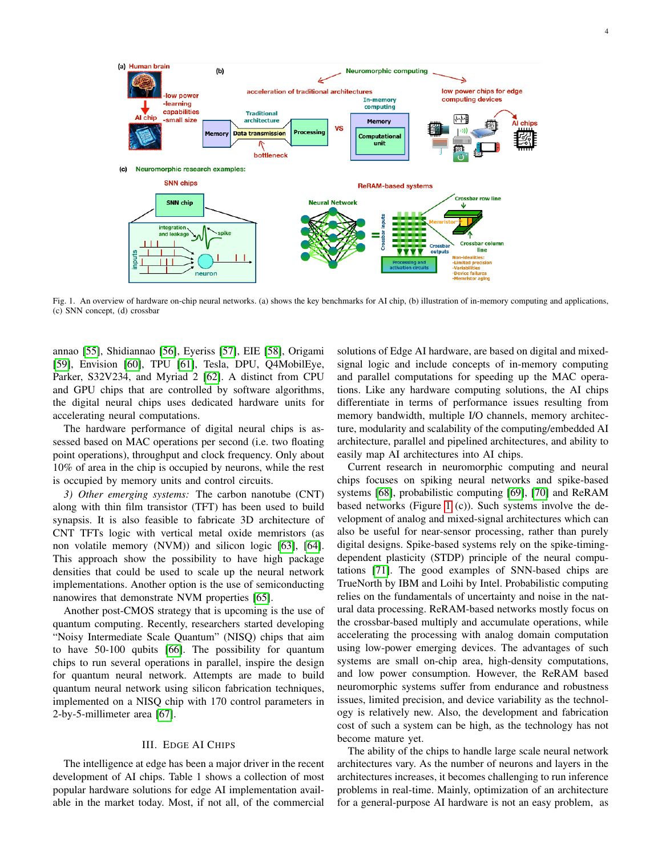

<span id="page-3-1"></span>Fig. 1. An overview of hardware on-chip neural networks. (a) shows the key benchmarks for AI chip, (b) illustration of in-memory computing and applications, (c) SNN concept, (d) crossbar

annao [\[55\]](#page-12-3), Shidiannao [\[56\]](#page-12-4), Eyeriss [\[57\]](#page-12-5), EIE [\[58\]](#page-12-6), Origami [\[59\]](#page-12-7), Envision [\[60\]](#page-12-8), TPU [\[61\]](#page-12-9), Tesla, DPU, Q4MobilEye, Parker, S32V234, and Myriad 2 [\[62\]](#page-12-10). A distinct from CPU and GPU chips that are controlled by software algorithms, the digital neural chips uses dedicated hardware units for accelerating neural computations.

The hardware performance of digital neural chips is assessed based on MAC operations per second (i.e. two floating point operations), throughput and clock frequency. Only about 10% of area in the chip is occupied by neurons, while the rest is occupied by memory units and control circuits.

*3) Other emerging systems:* The carbon nanotube (CNT) along with thin film transistor (TFT) has been used to build synapsis. It is also feasible to fabricate 3D architecture of CNT TFTs logic with vertical metal oxide memristors (as non volatile memory (NVM)) and silicon logic [\[63\]](#page-12-11), [\[64\]](#page-12-12). This approach show the possibility to have high package densities that could be used to scale up the neural network implementations. Another option is the use of semiconducting nanowires that demonstrate NVM properties [\[65\]](#page-12-13).

Another post-CMOS strategy that is upcoming is the use of quantum computing. Recently, researchers started developing "Noisy Intermediate Scale Quantum" (NISQ) chips that aim to have 50-100 qubits [\[66\]](#page-12-14). The possibility for quantum chips to run several operations in parallel, inspire the design for quantum neural network. Attempts are made to build quantum neural network using silicon fabrication techniques, implemented on a NISQ chip with 170 control parameters in 2-by-5-millimeter area [\[67\]](#page-12-15).

#### III. EDGE AI CHIPS

<span id="page-3-0"></span>The intelligence at edge has been a major driver in the recent development of AI chips. Table 1 shows a collection of most popular hardware solutions for edge AI implementation available in the market today. Most, if not all, of the commercial

solutions of Edge AI hardware, are based on digital and mixedsignal logic and include concepts of in-memory computing and parallel computations for speeding up the MAC operations. Like any hardware computing solutions, the AI chips differentiate in terms of performance issues resulting from memory bandwidth, multiple I/O channels, memory architecture, modularity and scalability of the computing/embedded AI architecture, parallel and pipelined architectures, and ability to easily map AI architectures into AI chips.

Current research in neuromorphic computing and neural chips focuses on spiking neural networks and spike-based systems [\[68\]](#page-12-16), probabilistic computing [\[69\]](#page-12-17), [\[70\]](#page-12-18) and ReRAM based networks (Figure [1](#page-3-1) (c)). Such systems involve the development of analog and mixed-signal architectures which can also be useful for near-sensor processing, rather than purely digital designs. Spike-based systems rely on the spike-timingdependent plasticity (STDP) principle of the neural computations [\[71\]](#page-12-19). The good examples of SNN-based chips are TrueNorth by IBM and Loihi by Intel. Probabilistic computing relies on the fundamentals of uncertainty and noise in the natural data processing. ReRAM-based networks mostly focus on the crossbar-based multiply and accumulate operations, while accelerating the processing with analog domain computation using low-power emerging devices. The advantages of such systems are small on-chip area, high-density computations, and low power consumption. However, the ReRAM based neuromorphic systems suffer from endurance and robustness issues, limited precision, and device variability as the technology is relatively new. Also, the development and fabrication cost of such a system can be high, as the technology has not become mature yet.

The ability of the chips to handle large scale neural network architectures vary. As the number of neurons and layers in the architectures increases, it becomes challenging to run inference problems in real-time. Mainly, optimization of an architecture for a general-purpose AI hardware is not an easy problem, as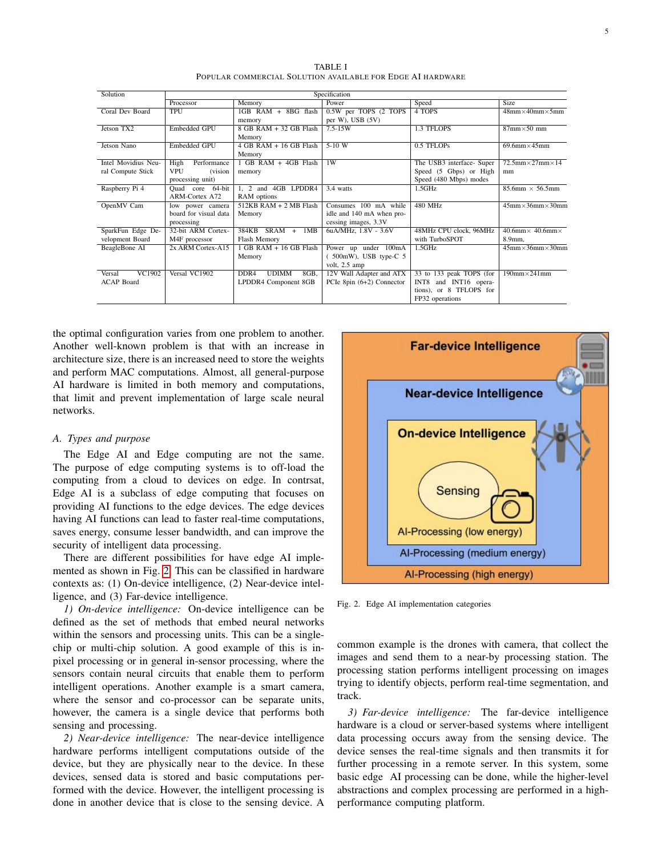| Solution            | Specification          |                                          |                             |                           |                                     |
|---------------------|------------------------|------------------------------------------|-----------------------------|---------------------------|-------------------------------------|
|                     | Processor              | Memory                                   | Power                       | Speed                     | <b>Size</b>                         |
| Coral Dev Board     | <b>TPU</b>             | 1GB RAM + 8BG flash                      | 0.5W per TOPS (2 TOPS)      | 4 TOPS                    | $48mm \times 40mm \times 5mm$       |
|                     |                        | memory                                   | per W), USB $(5V)$          |                           |                                     |
| Jetson TX2          | Embedded GPU           | 8 GB RAM + 32 GB Flash                   | $7.5 - 15W$                 | 1.3 TFLOPS                | $87$ mm $\times$ 50 mm              |
|                     |                        | Memory                                   |                             |                           |                                     |
| Jetson Nano         | Embedded GPU           | 4 GB RAM + 16 GB Flash                   | $5-10 W$                    | 0.5 TFLOPs                | $69.6$ mm $\times$ 45mm             |
|                     |                        | Memory                                   |                             |                           |                                     |
| Intel Movidius Neu- | Performance<br>High    | 1 GB RAM + 4GB Flash                     | 1W                          | The USB3 interface- Super | $72.5$ mm $\times$ 27mm $\times$ 14 |
| ral Compute Stick   | <b>VPU</b><br>(vision) | memory                                   |                             | Speed (5 Gbps) or High    | mm                                  |
|                     | processing unit)       |                                          |                             | Speed (480 Mbps) modes    |                                     |
| Raspberry Pi 4      | Quad core 64-bit       | 1. 2 and 4GB LPDDR4                      | 3.4 watts                   | 1.5GHz                    | $85.6$ mm $\times$ 56.5mm           |
|                     | <b>ARM-Cortex A72</b>  | RAM options                              |                             |                           |                                     |
| OpenMV Cam          | low power camera       | 512KB RAM + 2 MB Flash                   | Consumes 100 mA while       | 480 MHz                   | $45$ mm $\times$ 36mm $\times$ 30mm |
|                     | board for visual data  | Memory                                   | idle and 140 mA when pro-   |                           |                                     |
|                     | processing             |                                          | cessing images, 3.3V        |                           |                                     |
| SparkFun Edge De-   | 32-bit ARM Cortex-     | $384KB$ SRAM +<br>1MB                    | 6uA/MHz, 1.8V - 3.6V        | 48MHz CPU clock, 96MHz    | $40.6$ mm $\times$ 40.6mm $\times$  |
| velopment Board     | M4F processor          | Flash Memory                             |                             | with TurboSPOT            | 8.9mm,                              |
| BeagleBone AI       | 2x ARM Cortex-A15      | 1 GB RAM + 16 GB Flash                   | Power up under 100mA        | 1.5GHz                    | $45$ mm $\times$ 36mm $\times$ 30mm |
|                     |                        | Memory                                   | $(500mW)$ , USB type-C 5    |                           |                                     |
|                     |                        |                                          | volt, 2.5 amp               |                           |                                     |
| VC1902<br>Versal    | Versal VC1902          | <b>UDIMM</b><br>DDR <sub>4</sub><br>8GB. | 12V Wall Adapter and ATX    | 33 to 133 peak TOPS (for  | $190$ mm $\times$ 241mm             |
| <b>ACAP</b> Board   |                        | LPDDR4 Component 8GB                     | PCIe 8pin $(6+2)$ Connector | INT8 and INT16 opera-     |                                     |
|                     |                        |                                          |                             | tions), or 8 TFLOPS for   |                                     |
|                     |                        |                                          |                             | FP32 operations           |                                     |

TABLE I POPULAR COMMERCIAL SOLUTION AVAILABLE FOR EDGE AI HARDWARE

the optimal configuration varies from one problem to another. Another well-known problem is that with an increase in architecture size, there is an increased need to store the weights and perform MAC computations. Almost, all general-purpose AI hardware is limited in both memory and computations, that limit and prevent implementation of large scale neural networks.

## *A. Types and purpose*

The Edge AI and Edge computing are not the same. The purpose of edge computing systems is to off-load the computing from a cloud to devices on edge. In contrsat, Edge AI is a subclass of edge computing that focuses on providing AI functions to the edge devices. The edge devices having AI functions can lead to faster real-time computations, saves energy, consume lesser bandwidth, and can improve the security of intelligent data processing.

There are different possibilities for have edge AI implemented as shown in Fig. [2.](#page-4-0) This can be classified in hardware contexts as: (1) On-device intelligence, (2) Near-device intelligence, and (3) Far-device intelligence.

*1) On-device intelligence:* On-device intelligence can be defined as the set of methods that embed neural networks within the sensors and processing units. This can be a singlechip or multi-chip solution. A good example of this is inpixel processing or in general in-sensor processing, where the sensors contain neural circuits that enable them to perform intelligent operations. Another example is a smart camera, where the sensor and co-processor can be separate units, however, the camera is a single device that performs both sensing and processing.

*2) Near-device intelligence:* The near-device intelligence hardware performs intelligent computations outside of the device, but they are physically near to the device. In these devices, sensed data is stored and basic computations performed with the device. However, the intelligent processing is done in another device that is close to the sensing device. A



<span id="page-4-0"></span>Fig. 2. Edge AI implementation categories

common example is the drones with camera, that collect the images and send them to a near-by processing station. The processing station performs intelligent processing on images trying to identify objects, perform real-time segmentation, and track.

*3) Far-device intelligence:* The far-device intelligence hardware is a cloud or server-based systems where intelligent data processing occurs away from the sensing device. The device senses the real-time signals and then transmits it for further processing in a remote server. In this system, some basic edge AI processing can be done, while the higher-level abstractions and complex processing are performed in a highperformance computing platform.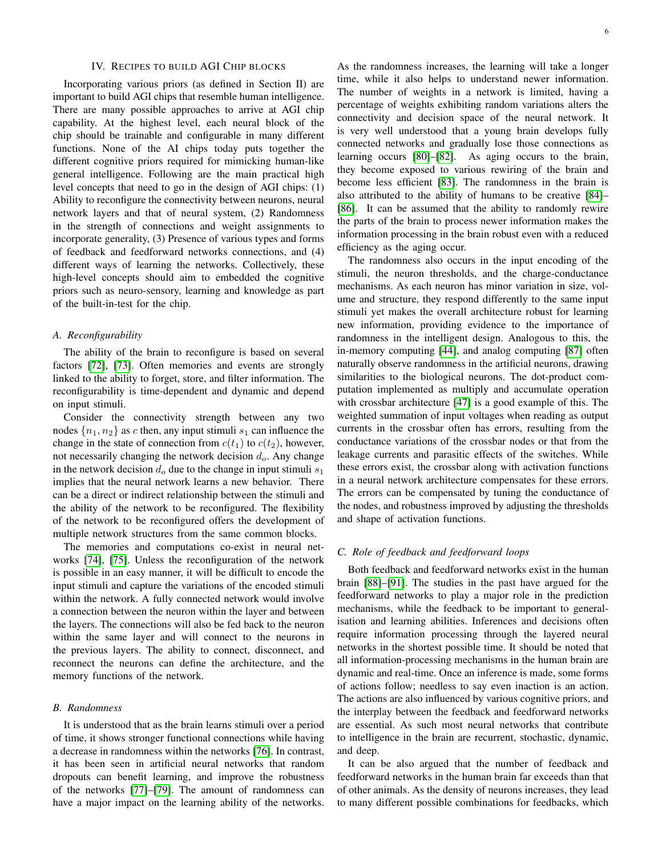#### IV. RECIPES TO BUILD AGI CHIP BLOCKS

<span id="page-5-0"></span>Incorporating various priors (as defined in Section II) are important to build AGI chips that resemble human intelligence. There are many possible approaches to arrive at AGI chip capability. At the highest level, each neural block of the chip should be trainable and configurable in many different functions. None of the AI chips today puts together the different cognitive priors required for mimicking human-like general intelligence. Following are the main practical high level concepts that need to go in the design of AGI chips: (1) Ability to reconfigure the connectivity between neurons, neural network layers and that of neural system, (2) Randomness in the strength of connections and weight assignments to incorporate generality, (3) Presence of various types and forms of feedback and feedforward networks connections, and (4) different ways of learning the networks. Collectively, these high-level concepts should aim to embedded the cognitive priors such as neuro-sensory, learning and knowledge as part of the built-in-test for the chip.

#### *A. Reconfigurability*

The ability of the brain to reconfigure is based on several factors [\[72\]](#page-12-20), [\[73\]](#page-12-21). Often memories and events are strongly linked to the ability to forget, store, and filter information. The reconfigurability is time-dependent and dynamic and depend on input stimuli.

Consider the connectivity strength between any two nodes  $\{n_1, n_2\}$  as c then, any input stimuli  $s_1$  can influence the change in the state of connection from  $c(t_1)$  to  $c(t_2)$ , however, not necessarily changing the network decision  $d<sub>o</sub>$ . Any change in the network decision  $d_0$  due to the change in input stimuli  $s_1$ implies that the neural network learns a new behavior. There can be a direct or indirect relationship between the stimuli and the ability of the network to be reconfigured. The flexibility of the network to be reconfigured offers the development of multiple network structures from the same common blocks.

The memories and computations co-exist in neural networks [\[74\]](#page-12-22), [\[75\]](#page-12-23). Unless the reconfiguration of the network is possible in an easy manner, it will be difficult to encode the input stimuli and capture the variations of the encoded stimuli within the network. A fully connected network would involve a connection between the neuron within the layer and between the layers. The connections will also be fed back to the neuron within the same layer and will connect to the neurons in the previous layers. The ability to connect, disconnect, and reconnect the neurons can define the architecture, and the memory functions of the network.

## *B. Randomness*

It is understood that as the brain learns stimuli over a period of time, it shows stronger functional connections while having a decrease in randomness within the networks [\[76\]](#page-12-24). In contrast, it has been seen in artificial neural networks that random dropouts can benefit learning, and improve the robustness of the networks [\[77\]](#page-12-25)–[\[79\]](#page-12-26). The amount of randomness can have a major impact on the learning ability of the networks.

As the randomness increases, the learning will take a longer time, while it also helps to understand newer information. The number of weights in a network is limited, having a percentage of weights exhibiting random variations alters the connectivity and decision space of the neural network. It is very well understood that a young brain develops fully connected networks and gradually lose those connections as learning occurs [\[80\]](#page-12-27)–[\[82\]](#page-12-28). As aging occurs to the brain, they become exposed to various rewiring of the brain and become less efficient [\[83\]](#page-12-29). The randomness in the brain is also attributed to the ability of humans to be creative [\[84\]](#page-12-30)– [\[86\]](#page-12-31). It can be assumed that the ability to randomly rewire the parts of the brain to process newer information makes the information processing in the brain robust even with a reduced efficiency as the aging occur.

The randomness also occurs in the input encoding of the stimuli, the neuron thresholds, and the charge-conductance mechanisms. As each neuron has minor variation in size, volume and structure, they respond differently to the same input stimuli yet makes the overall architecture robust for learning new information, providing evidence to the importance of randomness in the intelligent design. Analogous to this, the in-memory computing [\[44\]](#page-11-30), and analog computing [\[87\]](#page-12-32) often naturally observe randomness in the artificial neurons, drawing similarities to the biological neurons. The dot-product computation implemented as multiply and accumulate operation with crossbar architecture [\[47\]](#page-11-33) is a good example of this. The weighted summation of input voltages when reading as output currents in the crossbar often has errors, resulting from the conductance variations of the crossbar nodes or that from the leakage currents and parasitic effects of the switches. While these errors exist, the crossbar along with activation functions in a neural network architecture compensates for these errors. The errors can be compensated by tuning the conductance of the nodes, and robustness improved by adjusting the thresholds and shape of activation functions.

# *C. Role of feedback and feedforward loops*

Both feedback and feedforward networks exist in the human brain [\[88\]](#page-12-33)–[\[91\]](#page-12-34). The studies in the past have argued for the feedforward networks to play a major role in the prediction mechanisms, while the feedback to be important to generalisation and learning abilities. Inferences and decisions often require information processing through the layered neural networks in the shortest possible time. It should be noted that all information-processing mechanisms in the human brain are dynamic and real-time. Once an inference is made, some forms of actions follow; needless to say even inaction is an action. The actions are also influenced by various cognitive priors, and the interplay between the feedback and feedforward networks are essential. As such most neural networks that contribute to intelligence in the brain are recurrent, stochastic, dynamic, and deep.

It can be also argued that the number of feedback and feedforward networks in the human brain far exceeds than that of other animals. As the density of neurons increases, they lead to many different possible combinations for feedbacks, which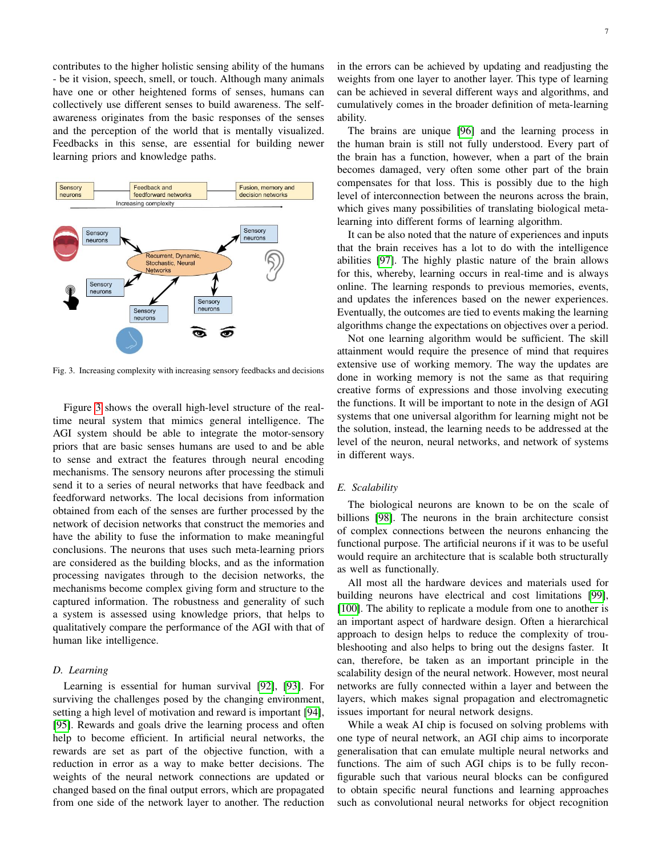contributes to the higher holistic sensing ability of the humans - be it vision, speech, smell, or touch. Although many animals have one or other heightened forms of senses, humans can collectively use different senses to build awareness. The selfawareness originates from the basic responses of the senses and the perception of the world that is mentally visualized. Feedbacks in this sense, are essential for building newer learning priors and knowledge paths.



<span id="page-6-0"></span>Fig. 3. Increasing complexity with increasing sensory feedbacks and decisions

Figure [3](#page-6-0) shows the overall high-level structure of the realtime neural system that mimics general intelligence. The AGI system should be able to integrate the motor-sensory priors that are basic senses humans are used to and be able to sense and extract the features through neural encoding mechanisms. The sensory neurons after processing the stimuli send it to a series of neural networks that have feedback and feedforward networks. The local decisions from information obtained from each of the senses are further processed by the network of decision networks that construct the memories and have the ability to fuse the information to make meaningful conclusions. The neurons that uses such meta-learning priors are considered as the building blocks, and as the information processing navigates through to the decision networks, the mechanisms become complex giving form and structure to the captured information. The robustness and generality of such a system is assessed using knowledge priors, that helps to qualitatively compare the performance of the AGI with that of human like intelligence.

## *D. Learning*

Learning is essential for human survival [\[92\]](#page-13-0), [\[93\]](#page-13-1). For surviving the challenges posed by the changing environment, setting a high level of motivation and reward is important [\[94\]](#page-13-2), [\[95\]](#page-13-3). Rewards and goals drive the learning process and often help to become efficient. In artificial neural networks, the rewards are set as part of the objective function, with a reduction in error as a way to make better decisions. The weights of the neural network connections are updated or changed based on the final output errors, which are propagated from one side of the network layer to another. The reduction

The brains are unique [\[96\]](#page-13-4) and the learning process in the human brain is still not fully understood. Every part of the brain has a function, however, when a part of the brain becomes damaged, very often some other part of the brain compensates for that loss. This is possibly due to the high level of interconnection between the neurons across the brain, which gives many possibilities of translating biological metalearning into different forms of learning algorithm.

It can be also noted that the nature of experiences and inputs that the brain receives has a lot to do with the intelligence abilities [\[97\]](#page-13-5). The highly plastic nature of the brain allows for this, whereby, learning occurs in real-time and is always online. The learning responds to previous memories, events, and updates the inferences based on the newer experiences. Eventually, the outcomes are tied to events making the learning algorithms change the expectations on objectives over a period.

Not one learning algorithm would be sufficient. The skill attainment would require the presence of mind that requires extensive use of working memory. The way the updates are done in working memory is not the same as that requiring creative forms of expressions and those involving executing the functions. It will be important to note in the design of AGI systems that one universal algorithm for learning might not be the solution, instead, the learning needs to be addressed at the level of the neuron, neural networks, and network of systems in different ways.

## *E. Scalability*

The biological neurons are known to be on the scale of billions [\[98\]](#page-13-6). The neurons in the brain architecture consist of complex connections between the neurons enhancing the functional purpose. The artificial neurons if it was to be useful would require an architecture that is scalable both structurally as well as functionally.

All most all the hardware devices and materials used for building neurons have electrical and cost limitations [\[99\]](#page-13-7), [\[100\]](#page-13-8). The ability to replicate a module from one to another is an important aspect of hardware design. Often a hierarchical approach to design helps to reduce the complexity of troubleshooting and also helps to bring out the designs faster. It can, therefore, be taken as an important principle in the scalability design of the neural network. However, most neural networks are fully connected within a layer and between the layers, which makes signal propagation and electromagnetic issues important for neural network designs.

While a weak AI chip is focused on solving problems with one type of neural network, an AGI chip aims to incorporate generalisation that can emulate multiple neural networks and functions. The aim of such AGI chips is to be fully reconfigurable such that various neural blocks can be configured to obtain specific neural functions and learning approaches such as convolutional neural networks for object recognition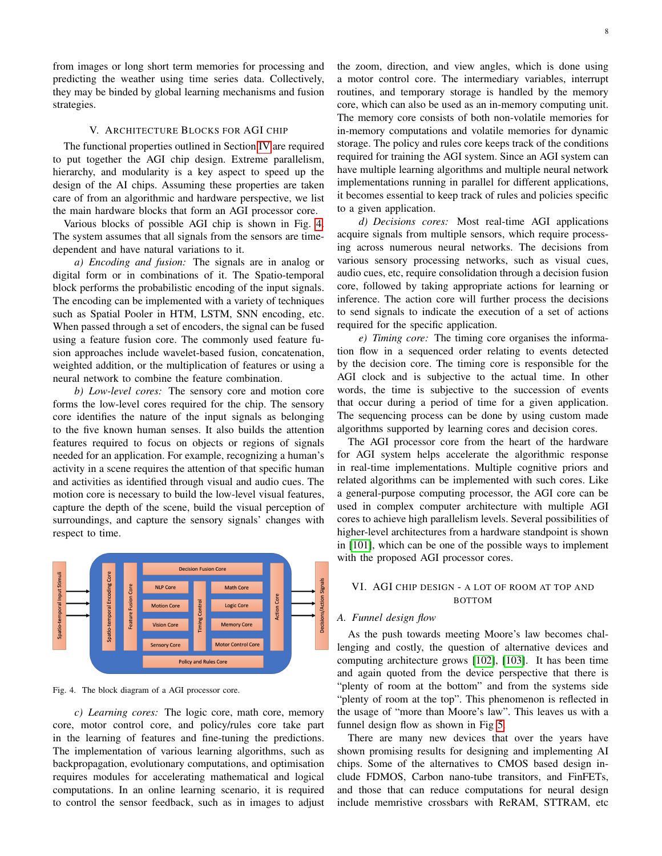from images or long short term memories for processing and predicting the weather using time series data. Collectively, they may be binded by global learning mechanisms and fusion strategies.

## V. ARCHITECTURE BLOCKS FOR AGI CHIP

The functional properties outlined in Section [IV](#page-5-0) are required to put together the AGI chip design. Extreme parallelism, hierarchy, and modularity is a key aspect to speed up the design of the AI chips. Assuming these properties are taken care of from an algorithmic and hardware perspective, we list the main hardware blocks that form an AGI processor core.

Various blocks of possible AGI chip is shown in Fig. [4.](#page-7-1) The system assumes that all signals from the sensors are timedependent and have natural variations to it.

*a) Encoding and fusion:* The signals are in analog or digital form or in combinations of it. The Spatio-temporal block performs the probabilistic encoding of the input signals. The encoding can be implemented with a variety of techniques such as Spatial Pooler in HTM, LSTM, SNN encoding, etc. When passed through a set of encoders, the signal can be fused using a feature fusion core. The commonly used feature fusion approaches include wavelet-based fusion, concatenation, weighted addition, or the multiplication of features or using a neural network to combine the feature combination.

*b) Low-level cores:* The sensory core and motion core forms the low-level cores required for the chip. The sensory core identifies the nature of the input signals as belonging to the five known human senses. It also builds the attention features required to focus on objects or regions of signals needed for an application. For example, recognizing a human's activity in a scene requires the attention of that specific human and activities as identified through visual and audio cues. The motion core is necessary to build the low-level visual features, capture the depth of the scene, build the visual perception of surroundings, and capture the sensory signals' changes with respect to time.



<span id="page-7-1"></span>Fig. 4. The block diagram of a AGI processor core.

*c) Learning cores:* The logic core, math core, memory core, motor control core, and policy/rules core take part in the learning of features and fine-tuning the predictions. The implementation of various learning algorithms, such as backpropagation, evolutionary computations, and optimisation requires modules for accelerating mathematical and logical computations. In an online learning scenario, it is required to control the sensor feedback, such as in images to adjust

the zoom, direction, and view angles, which is done using a motor control core. The intermediary variables, interrupt routines, and temporary storage is handled by the memory core, which can also be used as an in-memory computing unit. The memory core consists of both non-volatile memories for in-memory computations and volatile memories for dynamic storage. The policy and rules core keeps track of the conditions required for training the AGI system. Since an AGI system can have multiple learning algorithms and multiple neural network implementations running in parallel for different applications, it becomes essential to keep track of rules and policies specific to a given application.

*d) Decisions cores:* Most real-time AGI applications acquire signals from multiple sensors, which require processing across numerous neural networks. The decisions from various sensory processing networks, such as visual cues, audio cues, etc, require consolidation through a decision fusion core, followed by taking appropriate actions for learning or inference. The action core will further process the decisions to send signals to indicate the execution of a set of actions required for the specific application.

*e) Timing core:* The timing core organises the information flow in a sequenced order relating to events detected by the decision core. The timing core is responsible for the AGI clock and is subjective to the actual time. In other words, the time is subjective to the succession of events that occur during a period of time for a given application. The sequencing process can be done by using custom made algorithms supported by learning cores and decision cores.

The AGI processor core from the heart of the hardware for AGI system helps accelerate the algorithmic response in real-time implementations. Multiple cognitive priors and related algorithms can be implemented with such cores. Like a general-purpose computing processor, the AGI core can be used in complex computer architecture with multiple AGI cores to achieve high parallelism levels. Several possibilities of higher-level architectures from a hardware standpoint is shown in [\[101\]](#page-13-9), which can be one of the possible ways to implement with the proposed AGI processor cores.

## <span id="page-7-0"></span>VI. AGI CHIP DESIGN - A LOT OF ROOM AT TOP AND **BOTTOM**

## *A. Funnel design flow*

As the push towards meeting Moore's law becomes challenging and costly, the question of alternative devices and computing architecture grows [\[102\]](#page-13-10), [\[103\]](#page-13-11). It has been time and again quoted from the device perspective that there is "plenty of room at the bottom" and from the systems side "plenty of room at the top". This phenomenon is reflected in the usage of "more than Moore's law". This leaves us with a funnel design flow as shown in Fig [5.](#page-8-1)

There are many new devices that over the years have shown promising results for designing and implementing AI chips. Some of the alternatives to CMOS based design include FDMOS, Carbon nano-tube transitors, and FinFETs, and those that can reduce computations for neural design include memristive crossbars with ReRAM, STTRAM, etc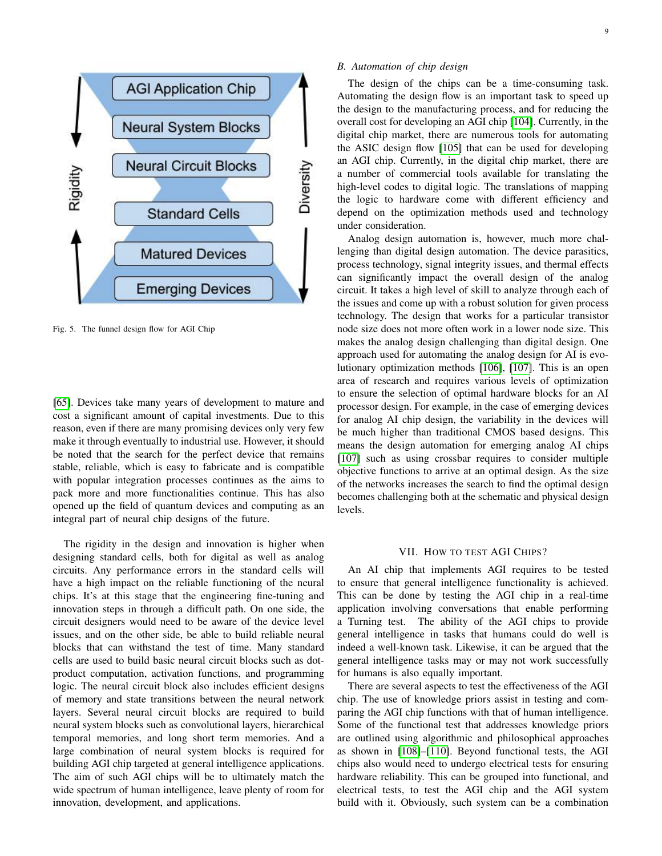

<span id="page-8-1"></span>Fig. 5. The funnel design flow for AGI Chip

[\[65\]](#page-12-13). Devices take many years of development to mature and cost a significant amount of capital investments. Due to this reason, even if there are many promising devices only very few make it through eventually to industrial use. However, it should be noted that the search for the perfect device that remains stable, reliable, which is easy to fabricate and is compatible with popular integration processes continues as the aims to pack more and more functionalities continue. This has also opened up the field of quantum devices and computing as an integral part of neural chip designs of the future.

The rigidity in the design and innovation is higher when designing standard cells, both for digital as well as analog circuits. Any performance errors in the standard cells will have a high impact on the reliable functioning of the neural chips. It's at this stage that the engineering fine-tuning and innovation steps in through a difficult path. On one side, the circuit designers would need to be aware of the device level issues, and on the other side, be able to build reliable neural blocks that can withstand the test of time. Many standard cells are used to build basic neural circuit blocks such as dotproduct computation, activation functions, and programming logic. The neural circuit block also includes efficient designs of memory and state transitions between the neural network layers. Several neural circuit blocks are required to build neural system blocks such as convolutional layers, hierarchical temporal memories, and long short term memories. And a large combination of neural system blocks is required for building AGI chip targeted at general intelligence applications. The aim of such AGI chips will be to ultimately match the wide spectrum of human intelligence, leave plenty of room for innovation, development, and applications.

## *B. Automation of chip design*

The design of the chips can be a time-consuming task. Automating the design flow is an important task to speed up the design to the manufacturing process, and for reducing the overall cost for developing an AGI chip [\[104\]](#page-13-12). Currently, in the digital chip market, there are numerous tools for automating the ASIC design flow [\[105\]](#page-13-13) that can be used for developing an AGI chip. Currently, in the digital chip market, there are a number of commercial tools available for translating the high-level codes to digital logic. The translations of mapping the logic to hardware come with different efficiency and depend on the optimization methods used and technology under consideration.

Analog design automation is, however, much more challenging than digital design automation. The device parasitics, process technology, signal integrity issues, and thermal effects can significantly impact the overall design of the analog circuit. It takes a high level of skill to analyze through each of the issues and come up with a robust solution for given process technology. The design that works for a particular transistor node size does not more often work in a lower node size. This makes the analog design challenging than digital design. One approach used for automating the analog design for AI is evolutionary optimization methods [\[106\]](#page-13-14), [\[107\]](#page-13-15). This is an open area of research and requires various levels of optimization to ensure the selection of optimal hardware blocks for an AI processor design. For example, in the case of emerging devices for analog AI chip design, the variability in the devices will be much higher than traditional CMOS based designs. This means the design automation for emerging analog AI chips [\[107\]](#page-13-15) such as using crossbar requires to consider multiple objective functions to arrive at an optimal design. As the size of the networks increases the search to find the optimal design becomes challenging both at the schematic and physical design levels.

#### VII. HOW TO TEST AGI CHIPS?

<span id="page-8-0"></span>An AI chip that implements AGI requires to be tested to ensure that general intelligence functionality is achieved. This can be done by testing the AGI chip in a real-time application involving conversations that enable performing a Turning test. The ability of the AGI chips to provide general intelligence in tasks that humans could do well is indeed a well-known task. Likewise, it can be argued that the general intelligence tasks may or may not work successfully for humans is also equally important.

There are several aspects to test the effectiveness of the AGI chip. The use of knowledge priors assist in testing and comparing the AGI chip functions with that of human intelligence. Some of the functional test that addresses knowledge priors are outlined using algorithmic and philosophical approaches as shown in [\[108\]](#page-13-16)–[\[110\]](#page-13-17). Beyond functional tests, the AGI chips also would need to undergo electrical tests for ensuring hardware reliability. This can be grouped into functional, and electrical tests, to test the AGI chip and the AGI system build with it. Obviously, such system can be a combination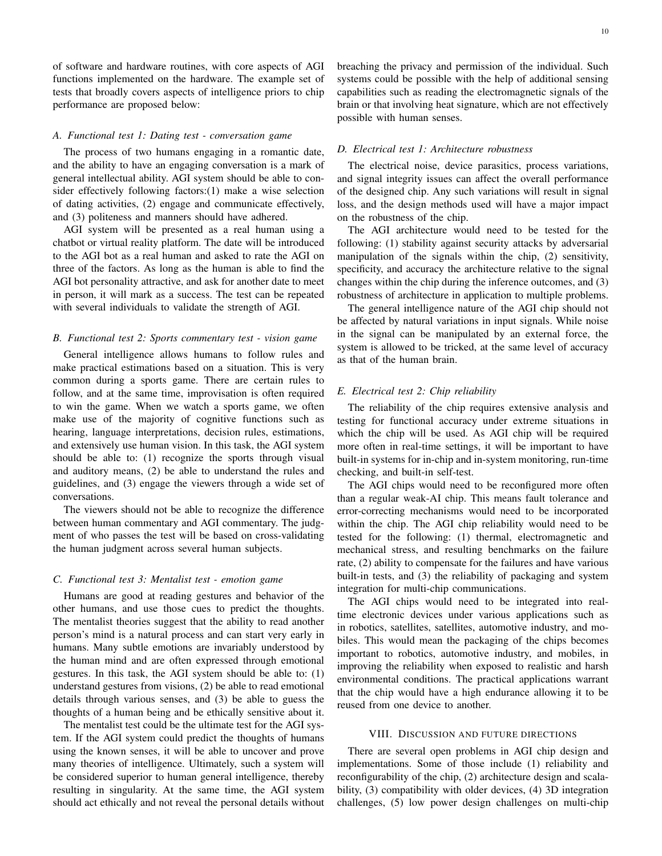of software and hardware routines, with core aspects of AGI functions implemented on the hardware. The example set of tests that broadly covers aspects of intelligence priors to chip performance are proposed below:

#### *A. Functional test 1: Dating test - conversation game*

The process of two humans engaging in a romantic date, and the ability to have an engaging conversation is a mark of general intellectual ability. AGI system should be able to consider effectively following factors:(1) make a wise selection of dating activities, (2) engage and communicate effectively, and (3) politeness and manners should have adhered.

AGI system will be presented as a real human using a chatbot or virtual reality platform. The date will be introduced to the AGI bot as a real human and asked to rate the AGI on three of the factors. As long as the human is able to find the AGI bot personality attractive, and ask for another date to meet in person, it will mark as a success. The test can be repeated with several individuals to validate the strength of AGI.

#### *B. Functional test 2: Sports commentary test - vision game*

General intelligence allows humans to follow rules and make practical estimations based on a situation. This is very common during a sports game. There are certain rules to follow, and at the same time, improvisation is often required to win the game. When we watch a sports game, we often make use of the majority of cognitive functions such as hearing, language interpretations, decision rules, estimations, and extensively use human vision. In this task, the AGI system should be able to: (1) recognize the sports through visual and auditory means, (2) be able to understand the rules and guidelines, and (3) engage the viewers through a wide set of conversations.

The viewers should not be able to recognize the difference between human commentary and AGI commentary. The judgment of who passes the test will be based on cross-validating the human judgment across several human subjects.

#### *C. Functional test 3: Mentalist test - emotion game*

Humans are good at reading gestures and behavior of the other humans, and use those cues to predict the thoughts. The mentalist theories suggest that the ability to read another person's mind is a natural process and can start very early in humans. Many subtle emotions are invariably understood by the human mind and are often expressed through emotional gestures. In this task, the AGI system should be able to: (1) understand gestures from visions, (2) be able to read emotional details through various senses, and (3) be able to guess the thoughts of a human being and be ethically sensitive about it.

The mentalist test could be the ultimate test for the AGI system. If the AGI system could predict the thoughts of humans using the known senses, it will be able to uncover and prove many theories of intelligence. Ultimately, such a system will be considered superior to human general intelligence, thereby resulting in singularity. At the same time, the AGI system should act ethically and not reveal the personal details without breaching the privacy and permission of the individual. Such systems could be possible with the help of additional sensing capabilities such as reading the electromagnetic signals of the brain or that involving heat signature, which are not effectively possible with human senses.

#### *D. Electrical test 1: Architecture robustness*

The electrical noise, device parasitics, process variations, and signal integrity issues can affect the overall performance of the designed chip. Any such variations will result in signal loss, and the design methods used will have a major impact on the robustness of the chip.

The AGI architecture would need to be tested for the following: (1) stability against security attacks by adversarial manipulation of the signals within the chip, (2) sensitivity, specificity, and accuracy the architecture relative to the signal changes within the chip during the inference outcomes, and (3) robustness of architecture in application to multiple problems.

The general intelligence nature of the AGI chip should not be affected by natural variations in input signals. While noise in the signal can be manipulated by an external force, the system is allowed to be tricked, at the same level of accuracy as that of the human brain.

#### *E. Electrical test 2: Chip reliability*

The reliability of the chip requires extensive analysis and testing for functional accuracy under extreme situations in which the chip will be used. As AGI chip will be required more often in real-time settings, it will be important to have built-in systems for in-chip and in-system monitoring, run-time checking, and built-in self-test.

The AGI chips would need to be reconfigured more often than a regular weak-AI chip. This means fault tolerance and error-correcting mechanisms would need to be incorporated within the chip. The AGI chip reliability would need to be tested for the following: (1) thermal, electromagnetic and mechanical stress, and resulting benchmarks on the failure rate, (2) ability to compensate for the failures and have various built-in tests, and (3) the reliability of packaging and system integration for multi-chip communications.

The AGI chips would need to be integrated into realtime electronic devices under various applications such as in robotics, satellites, satellites, automotive industry, and mobiles. This would mean the packaging of the chips becomes important to robotics, automotive industry, and mobiles, in improving the reliability when exposed to realistic and harsh environmental conditions. The practical applications warrant that the chip would have a high endurance allowing it to be reused from one device to another.

## VIII. DISCUSSION AND FUTURE DIRECTIONS

There are several open problems in AGI chip design and implementations. Some of those include (1) reliability and reconfigurability of the chip, (2) architecture design and scalability, (3) compatibility with older devices, (4) 3D integration challenges, (5) low power design challenges on multi-chip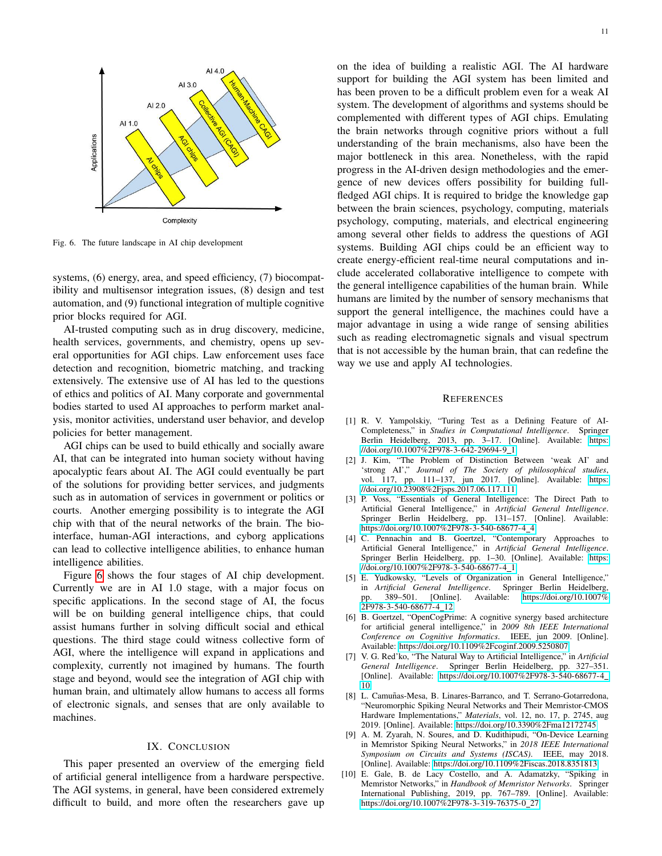

<span id="page-10-9"></span>Fig. 6. The future landscape in AI chip development

systems, (6) energy, area, and speed efficiency, (7) biocompatibility and multisensor integration issues, (8) design and test automation, and (9) functional integration of multiple cognitive prior blocks required for AGI.

AI-trusted computing such as in drug discovery, medicine, health services, governments, and chemistry, opens up several opportunities for AGI chips. Law enforcement uses face detection and recognition, biometric matching, and tracking extensively. The extensive use of AI has led to the questions of ethics and politics of AI. Many corporate and governmental bodies started to used AI approaches to perform market analysis, monitor activities, understand user behavior, and develop policies for better management.

AGI chips can be used to build ethically and socially aware AI, that can be integrated into human society without having apocalyptic fears about AI. The AGI could eventually be part of the solutions for providing better services, and judgments such as in automation of services in government or politics or courts. Another emerging possibility is to integrate the AGI chip with that of the neural networks of the brain. The biointerface, human-AGI interactions, and cyborg applications can lead to collective intelligence abilities, to enhance human intelligence abilities.

Figure [6](#page-10-9) shows the four stages of AI chip development. Currently we are in AI 1.0 stage, with a major focus on specific applications. In the second stage of AI, the focus will be on building general intelligence chips, that could assist humans further in solving difficult social and ethical questions. The third stage could witness collective form of AGI, where the intelligence will expand in applications and complexity, currently not imagined by humans. The fourth stage and beyond, would see the integration of AGI chip with human brain, and ultimately allow humans to access all forms of electronic signals, and senses that are only available to machines.

## IX. CONCLUSION

<span id="page-10-8"></span>This paper presented an overview of the emerging field of artificial general intelligence from a hardware perspective. The AGI systems, in general, have been considered extremely difficult to build, and more often the researchers gave up

on the idea of building a realistic AGI. The AI hardware support for building the AGI system has been limited and has been proven to be a difficult problem even for a weak AI system. The development of algorithms and systems should be complemented with different types of AGI chips. Emulating the brain networks through cognitive priors without a full understanding of the brain mechanisms, also have been the major bottleneck in this area. Nonetheless, with the rapid progress in the AI-driven design methodologies and the emergence of new devices offers possibility for building fullfledged AGI chips. It is required to bridge the knowledge gap between the brain sciences, psychology, computing, materials psychology, computing, materials, and electrical engineering among several other fields to address the questions of AGI systems. Building AGI chips could be an efficient way to create energy-efficient real-time neural computations and include accelerated collaborative intelligence to compete with the general intelligence capabilities of the human brain. While humans are limited by the number of sensory mechanisms that support the general intelligence, the machines could have a major advantage in using a wide range of sensing abilities such as reading electromagnetic signals and visual spectrum that is not accessible by the human brain, that can redefine the way we use and apply AI technologies.

#### **REFERENCES**

- <span id="page-10-0"></span>[1] R. V. Yampolskiy, "Turing Test as a Defining Feature of AI-Completeness," in *Studies in Computational Intelligence*. Springer Berlin Heidelberg, 2013, pp. 3–17. [Online]. Available: [https:](https://doi.org/10.1007%2F978-3-642-29694-9_1) [//doi.org/10.1007%2F978-3-642-29694-9](https://doi.org/10.1007%2F978-3-642-29694-9_1)\_1
- <span id="page-10-1"></span>[2] J. Kim, "The Problem of Distinction Between 'weak AI' and 'strong AI'," *Journal of The Society of philosophical studies*, vol. 117, pp. 111–137, jun 2017. [Online]. Available: [https:](https://doi.org/10.23908%2Fjsps.2017.06.117.111) [//doi.org/10.23908%2Fjsps.2017.06.117.111](https://doi.org/10.23908%2Fjsps.2017.06.117.111)
- <span id="page-10-2"></span>[3] P. Voss, "Essentials of General Intelligence: The Direct Path to Artificial General Intelligence," in *Artificial General Intelligence*. Springer Berlin Heidelberg, pp. 131–157. [Online]. Available: [https://doi.org/10.1007%2F978-3-540-68677-4](https://doi.org/10.1007%2F978-3-540-68677-4_4) 4
- <span id="page-10-4"></span>[4] C. Pennachin and B. Goertzel, "Contemporary Approaches to Artificial General Intelligence," in *Artificial General Intelligence*. Springer Berlin Heidelberg, pp. 1–30. [Online]. Available: [https:](https://doi.org/10.1007%2F978-3-540-68677-4_1) [//doi.org/10.1007%2F978-3-540-68677-4](https://doi.org/10.1007%2F978-3-540-68677-4_1) 1
- <span id="page-10-3"></span>[5] E. Yudkowsky, "Levels of Organization in General Intelligence," in Artificial General Intelligence. Springer Berlin Heidelberg, in *Artificial General Intelligence*.<br>pp. 389–501. [Online]. Availa Available: [https://doi.org/10.1007%](https://doi.org/10.1007%2F978-3-540-68677-4_12) [2F978-3-540-68677-4](https://doi.org/10.1007%2F978-3-540-68677-4_12) 12
- <span id="page-10-5"></span>[6] B. Goertzel, "OpenCogPrime: A cognitive synergy based architecture for artificial general intelligence," in *2009 8th IEEE International Conference on Cognitive Informatics*. IEEE, jun 2009. [Online]. Available:<https://doi.org/10.1109%2Fcoginf.2009.5250807>
- <span id="page-10-6"></span>[7] V. G. Red'ko, "The Natural Way to Artificial Intelligence," in *Artificial General Intelligence*. Springer Berlin Heidelberg, pp. 327–351. [Online]. Available: [https://doi.org/10.1007%2F978-3-540-68677-4](https://doi.org/10.1007%2F978-3-540-68677-4_10) [10](https://doi.org/10.1007%2F978-3-540-68677-4_10)
- <span id="page-10-7"></span>[8] L. Camuñas-Mesa, B. Linares-Barranco, and T. Serrano-Gotarredona, "Neuromorphic Spiking Neural Networks and Their Memristor-CMOS Hardware Implementations," *Materials*, vol. 12, no. 17, p. 2745, aug 2019. [Online]. Available:<https://doi.org/10.3390%2Fma12172745>
- [9] A. M. Zyarah, N. Soures, and D. Kudithipudi, "On-Device Learning in Memristor Spiking Neural Networks," in *2018 IEEE International Symposium on Circuits and Systems (ISCAS)*. IEEE, may 2018. [Online]. Available:<https://doi.org/10.1109%2Fiscas.2018.8351813>
- [10] E. Gale, B. de Lacy Costello, and A. Adamatzky, "Spiking in Memristor Networks," in *Handbook of Memristor Networks*. Springer International Publishing, 2019, pp. 767–789. [Online]. Available: [https://doi.org/10.1007%2F978-3-319-76375-0](https://doi.org/10.1007%2F978-3-319-76375-0_27)\_27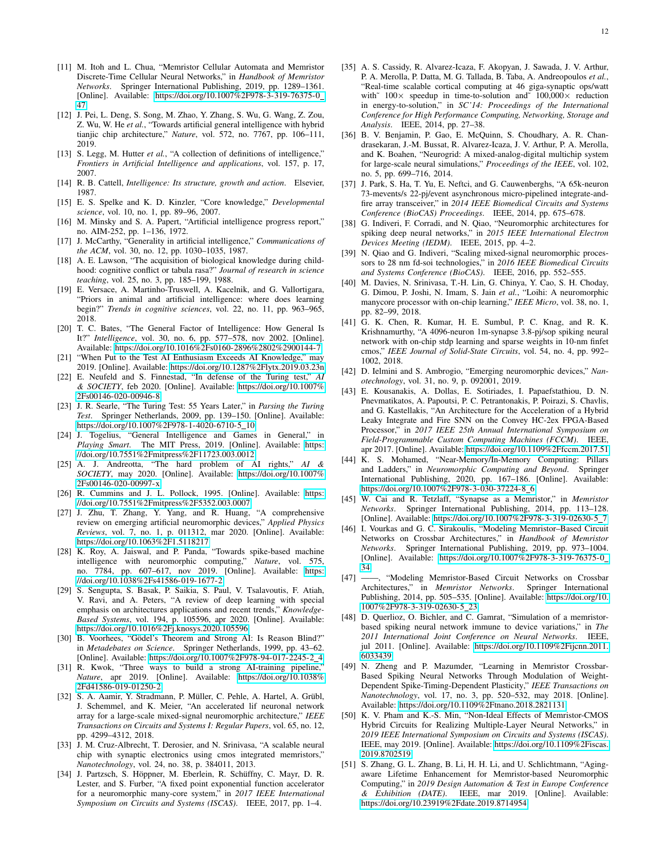- [11] M. Itoh and L. Chua, "Memristor Cellular Automata and Memristor Discrete-Time Cellular Neural Networks," in *Handbook of Memristor Networks*. Springer International Publishing, 2019, pp. 1289–1361. [Online]. Available: [https://doi.org/10.1007%2F978-3-319-76375-0](https://doi.org/10.1007%2F978-3-319-76375-0_47) [47](https://doi.org/10.1007%2F978-3-319-76375-0_47)
- <span id="page-11-0"></span>[12] J. Pei, L. Deng, S. Song, M. Zhao, Y. Zhang, S. Wu, G. Wang, Z. Zou, Z. Wu, W. He *et al.*, "Towards artificial general intelligence with hybrid tianjic chip architecture," *Nature*, vol. 572, no. 7767, pp. 106–111, 2019.
- <span id="page-11-1"></span>[13] S. Legg, M. Hutter et al., "A collection of definitions of intelligence," *Frontiers in Artificial Intelligence and applications*, vol. 157, p. 17, 2007.
- <span id="page-11-2"></span>[14] R. B. Cattell, *Intelligence: Its structure, growth and action*. Elsevier, 1987.
- <span id="page-11-3"></span>[15] E. S. Spelke and K. D. Kinzler, "Core knowledge," *Developmental science*, vol. 10, no. 1, pp. 89–96, 2007.
- <span id="page-11-4"></span>[16] M. Minsky and S. A. Papert, "Artificial intelligence progress report," no. AIM-252, pp. 1–136, 1972.
- <span id="page-11-5"></span>[17] J. McCarthy, "Generality in artificial intelligence," *Communications of the ACM*, vol. 30, no. 12, pp. 1030–1035, 1987.
- <span id="page-11-6"></span>[18] A. E. Lawson, "The acquisition of biological knowledge during childhood: cognitive conflict or tabula rasa?" *Journal of research in science teaching*, vol. 25, no. 3, pp. 185–199, 1988.
- <span id="page-11-7"></span>[19] E. Versace, A. Martinho-Truswell, A. Kacelnik, and G. Vallortigara, "Priors in animal and artificial intelligence: where does learning begin?" *Trends in cognitive sciences*, vol. 22, no. 11, pp. 963–965, 2018.
- <span id="page-11-8"></span>[20] T. C. Bates, "The General Factor of Intelligence: How General Is It?" *Intelligence*, vol. 30, no. 6, pp. 577–578, nov 2002. [Online]. Available:<https://doi.org/10.1016%2Fs0160-2896%2802%2900144-7>
- <span id="page-11-9"></span>[21] "When Put to the Test AI Enthusiasm Exceeds AI Knowledge," may 2019. [Online]. Available:<https://doi.org/10.1287%2Flytx.2019.03.23n>
- [22] E. Neufeld and S. Finnestad, "In defense of the Turing test," *AI & SOCIETY*, feb 2020. [Online]. Available: [https://doi.org/10.1007%](https://doi.org/10.1007%2Fs00146-020-00946-8) [2Fs00146-020-00946-8](https://doi.org/10.1007%2Fs00146-020-00946-8)
- [23] J. R. Searle, "The Turing Test: 55 Years Later," in *Parsing the Turing Test*. Springer Netherlands, 2009, pp. 139–150. [Online]. Available: [https://doi.org/10.1007%2F978-1-4020-6710-5](https://doi.org/10.1007%2F978-1-4020-6710-5_10)\_10
- <span id="page-11-10"></span>[24] J. Togelius, "General Intelligence and Games in General," in *Playing Smart*. The MIT Press, 2019. [Online]. Available: [https:](https://doi.org/10.7551%2Fmitpress%2F11723.003.0012) [//doi.org/10.7551%2Fmitpress%2F11723.003.0012](https://doi.org/10.7551%2Fmitpress%2F11723.003.0012)
- <span id="page-11-11"></span>[25] A. J. Andreotta, "The hard problem of AI rights," *AI & SOCIETY*, may 2020. [Online]. Available: [https://doi.org/10.1007%](https://doi.org/10.1007%2Fs00146-020-00997-x) [2Fs00146-020-00997-x](https://doi.org/10.1007%2Fs00146-020-00997-x)
- <span id="page-11-12"></span>[26] R. Cummins and J. L. Pollock, 1995. [Online]. Available: [https:](https://doi.org/10.7551%2Fmitpress%2F5352.003.0007) [//doi.org/10.7551%2Fmitpress%2F5352.003.0007](https://doi.org/10.7551%2Fmitpress%2F5352.003.0007)
- <span id="page-11-13"></span>[27] J. Zhu, T. Zhang, Y. Yang, and R. Huang, "A comprehensive review on emerging artificial neuromorphic devices," *Applied Physics Reviews*, vol. 7, no. 1, p. 011312, mar 2020. [Online]. Available: <https://doi.org/10.1063%2F1.5118217>
- <span id="page-11-14"></span>[28] K. Roy, A. Jaiswal, and P. Panda, "Towards spike-based machine intelligence with neuromorphic computing," *Nature*, vol. 575, no. 7784, pp. 607–617, nov 2019. [Online]. Available: [https:](https://doi.org/10.1038%2Fs41586-019-1677-2) [//doi.org/10.1038%2Fs41586-019-1677-2](https://doi.org/10.1038%2Fs41586-019-1677-2)
- <span id="page-11-15"></span>[29] S. Sengupta, S. Basak, P. Saikia, S. Paul, V. Tsalavoutis, F. Atiah, V. Ravi, and A. Peters, "A review of deep learning with special emphasis on architectures applications and recent trends," *Knowledge-Based Systems*, vol. 194, p. 105596, apr 2020. [Online]. Available: <https://doi.org/10.1016%2Fj.knosys.2020.105596>
- <span id="page-11-16"></span>[30] B. Voorhees, "Gödel's Theorem and Strong AI: Is Reason Blind?" in *Metadebates on Science*. Springer Netherlands, 1999, pp. 43–62. [Online]. Available: [https://doi.org/10.1007%2F978-94-017-2245-2](https://doi.org/10.1007%2F978-94-017-2245-2_4) 4
- <span id="page-11-17"></span>[31] R. Kwok, "Three ways to build a strong AI-training pipeline," *Nature*, apr 2019. [Online]. Available: [https://doi.org/10.1038%](https://doi.org/10.1038%2Fd41586-019-01250-2) [2Fd41586-019-01250-2](https://doi.org/10.1038%2Fd41586-019-01250-2)
- <span id="page-11-18"></span>[32] S. A. Aamir, Y. Stradmann, P. Müller, C. Pehle, A. Hartel, A. Grübl, J. Schemmel, and K. Meier, "An accelerated lif neuronal network array for a large-scale mixed-signal neuromorphic architecture," *IEEE Transactions on Circuits and Systems I: Regular Papers*, vol. 65, no. 12, pp. 4299–4312, 2018.
- <span id="page-11-19"></span>[33] J. M. Cruz-Albrecht, T. Derosier, and N. Srinivasa, "A scalable neural chip with synaptic electronics using cmos integrated memristors," *Nanotechnology*, vol. 24, no. 38, p. 384011, 2013.
- <span id="page-11-20"></span>[34] J. Partzsch, S. Höppner, M. Eberlein, R. Schüffny, C. Mayr, D. R. Lester, and S. Furber, "A fixed point exponential function accelerator for a neuromorphic many-core system," in *2017 IEEE International Symposium on Circuits and Systems (ISCAS)*. IEEE, 2017, pp. 1–4.
- <span id="page-11-21"></span>[35] A. S. Cassidy, R. Alvarez-Icaza, F. Akopyan, J. Sawada, J. V. Arthur, P. A. Merolla, P. Datta, M. G. Tallada, B. Taba, A. Andreopoulos *et al.*, "Real-time scalable cortical computing at 46 giga-synaptic ops/watt with~  $100 \times$  speedup in time-to-solution and~  $100,000 \times$  reduction in energy-to-solution," in *SC'14: Proceedings of the International Conference for High Performance Computing, Networking, Storage and Analysis*. IEEE, 2014, pp. 27–38.
- <span id="page-11-22"></span>[36] B. V. Benjamin, P. Gao, E. McQuinn, S. Choudhary, A. R. Chandrasekaran, J.-M. Bussat, R. Alvarez-Icaza, J. V. Arthur, P. A. Merolla, and K. Boahen, "Neurogrid: A mixed-analog-digital multichip system for large-scale neural simulations," *Proceedings of the IEEE*, vol. 102, no. 5, pp. 699–716, 2014.
- <span id="page-11-23"></span>[37] J. Park, S. Ha, T. Yu, E. Neftci, and G. Cauwenberghs, "A 65k-neuron 73-mevents/s 22-pj/event asynchronous micro-pipelined integrate-andfire array transceiver," in *2014 IEEE Biomedical Circuits and Systems Conference (BioCAS) Proceedings*. IEEE, 2014, pp. 675–678.
- <span id="page-11-24"></span>[38] G. Indiveri, F. Corradi, and N. Qiao, "Neuromorphic architectures for spiking deep neural networks," in *2015 IEEE International Electron Devices Meeting (IEDM)*. IEEE, 2015, pp. 4–2.
- <span id="page-11-25"></span>[39] N. Qiao and G. Indiveri, "Scaling mixed-signal neuromorphic processors to 28 nm fd-soi technologies," in *2016 IEEE Biomedical Circuits and Systems Conference (BioCAS)*. IEEE, 2016, pp. 552–555.
- <span id="page-11-26"></span>[40] M. Davies, N. Srinivasa, T.-H. Lin, G. Chinya, Y. Cao, S. H. Choday, G. Dimou, P. Joshi, N. Imam, S. Jain *et al.*, "Loihi: A neuromorphic manycore processor with on-chip learning," *IEEE Micro*, vol. 38, no. 1, pp. 82–99, 2018.
- <span id="page-11-27"></span>[41] G. K. Chen, R. Kumar, H. E. Sumbul, P. C. Knag, and R. K. Krishnamurthy, "A 4096-neuron 1m-synapse 3.8-pj/sop spiking neural network with on-chip stdp learning and sparse weights in 10-nm finfet cmos," *IEEE Journal of Solid-State Circuits*, vol. 54, no. 4, pp. 992– 1002, 2018.
- <span id="page-11-28"></span>[42] D. Ielmini and S. Ambrogio, "Emerging neuromorphic devices," *Nanotechnology*, vol. 31, no. 9, p. 092001, 2019.
- <span id="page-11-29"></span>[43] E. Kousanakis, A. Dollas, E. Sotiriades, I. Papaefstathiou, D. N. Pnevmatikatos, A. Papoutsi, P. C. Petrantonakis, P. Poirazi, S. Chavlis, and G. Kastellakis, "An Architecture for the Acceleration of a Hybrid Leaky Integrate and Fire SNN on the Convey HC-2ex FPGA-Based Processor," in *2017 IEEE 25th Annual International Symposium on Field-Programmable Custom Computing Machines (FCCM)*. IEEE, apr 2017. [Online]. Available:<https://doi.org/10.1109%2Ffccm.2017.51>
- <span id="page-11-30"></span>[44] K. S. Mohamed, "Near-Memory/In-Memory Computing: Pillars and Ladders," in *Neuromorphic Computing and Beyond*. Springer International Publishing, 2020, pp. 167–186. [Online]. Available: [https://doi.org/10.1007%2F978-3-030-37224-8](https://doi.org/10.1007%2F978-3-030-37224-8_6)\_6
- <span id="page-11-31"></span>[45] W. Cai and R. Tetzlaff, "Synapse as a Memristor," in *Memristor Networks*. Springer International Publishing, 2014, pp. 113–128. [Online]. Available: [https://doi.org/10.1007%2F978-3-319-02630-5](https://doi.org/10.1007%2F978-3-319-02630-5_7)\_7
- <span id="page-11-32"></span>[46] I. Vourkas and G. C. Sirakoulis, "Modeling Memristor–Based Circuit Networks on Crossbar Architectures," in *Handbook of Memristor Networks*. Springer International Publishing, 2019, pp. 973–1004. [Online]. Available: [https://doi.org/10.1007%2F978-3-319-76375-0](https://doi.org/10.1007%2F978-3-319-76375-0_34) [34](https://doi.org/10.1007%2F978-3-319-76375-0_34)
- <span id="page-11-33"></span>[47] ——, "Modeling Memristor-Based Circuit Networks on Crossbar Architectures," in *Memristor Networks*. Springer International Publishing, 2014, pp. 505–535. [Online]. Available: [https://doi.org/10.](https://doi.org/10.1007%2F978-3-319-02630-5_23) [1007%2F978-3-319-02630-5](https://doi.org/10.1007%2F978-3-319-02630-5_23) 23
- <span id="page-11-34"></span>[48] D. Querlioz, O. Bichler, and C. Gamrat, "Simulation of a memristorbased spiking neural network immune to device variations," in *The 2011 International Joint Conference on Neural Networks*. IEEE, jul 2011. [Online]. Available: [https://doi.org/10.1109%2Fijcnn.2011.](https://doi.org/10.1109%2Fijcnn.2011.6033439) [6033439](https://doi.org/10.1109%2Fijcnn.2011.6033439)
- <span id="page-11-35"></span>[49] N. Zheng and P. Mazumder, "Learning in Memristor Crossbar-Based Spiking Neural Networks Through Modulation of Weight-Dependent Spike-Timing-Dependent Plasticity," *IEEE Transactions on Nanotechnology*, vol. 17, no. 3, pp. 520–532, may 2018. [Online]. Available:<https://doi.org/10.1109%2Ftnano.2018.2821131>
- <span id="page-11-36"></span>[50] K. V. Pham and K.-S. Min, "Non-Ideal Effects of Memristor-CMOS Hybrid Circuits for Realizing Multiple-Layer Neural Networks," in *2019 IEEE International Symposium on Circuits and Systems (ISCAS)*. IEEE, may 2019. [Online]. Available: [https://doi.org/10.1109%2Fiscas.](https://doi.org/10.1109%2Fiscas.2019.8702519) [2019.8702519](https://doi.org/10.1109%2Fiscas.2019.8702519)
- [51] S. Zhang, G. L. Zhang, B. Li, H. H. Li, and U. Schlichtmann, "Agingaware Lifetime Enhancement for Memristor-based Neuromorphic Computing," in *2019 Design Automation & Test in Europe Conference & Exhibition (DATE)*. IEEE, mar 2019. [Online]. Available: <https://doi.org/10.23919%2Fdate.2019.8714954>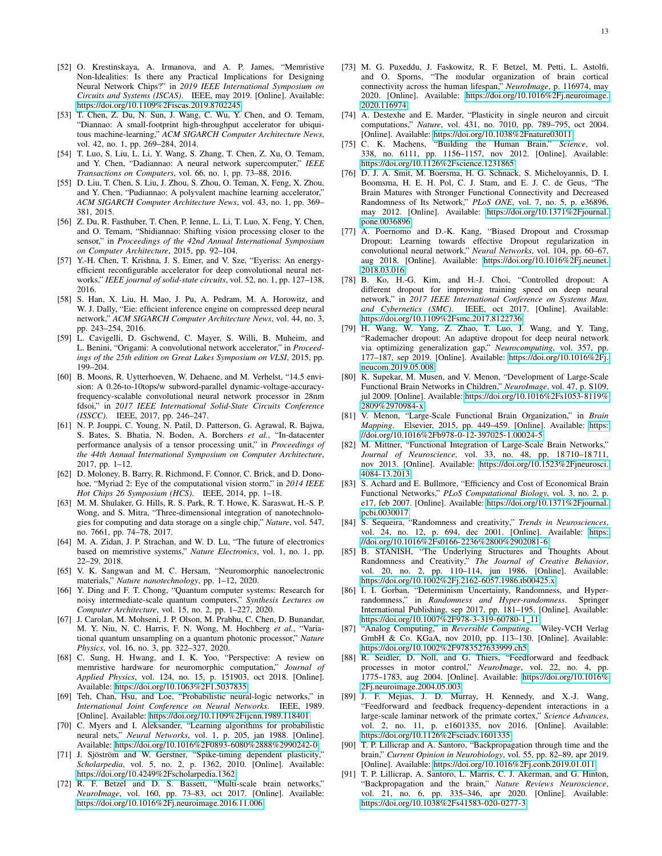- <span id="page-12-0"></span>[52] O. Krestinskaya, A. Irmanova, and A. P. James, "Memristive Non-Idealities: Is there any Practical Implications for Designing Neural Network Chips?" in *2019 IEEE International Symposium on Circuits and Systems (ISCAS)*. IEEE, may 2019. [Online]. Available: <https://doi.org/10.1109%2Fiscas.2019.8702245>
- <span id="page-12-1"></span>[53] T. Chen, Z. Du, N. Sun, J. Wang, C. Wu, Y. Chen, and O. Temam, "Diannao: A small-footprint high-throughput accelerator for ubiquitous machine-learning," *ACM SIGARCH Computer Architecture News*, vol. 42, no. 1, pp. 269–284, 2014.
- <span id="page-12-2"></span>[54] T. Luo, S. Liu, L. Li, Y. Wang, S. Zhang, T. Chen, Z. Xu, O. Temam, and Y. Chen, "Dadiannao: A neural network supercomputer," *IEEE Transactions on Computers*, vol. 66, no. 1, pp. 73–88, 2016.
- <span id="page-12-3"></span>[55] D. Liu, T. Chen, S. Liu, J. Zhou, S. Zhou, O. Teman, X. Feng, X. Zhou, and Y. Chen, "Pudiannao: A polyvalent machine learning accelerator," *ACM SIGARCH Computer Architecture News*, vol. 43, no. 1, pp. 369– 381, 2015.
- <span id="page-12-4"></span>[56] Z. Du, R. Fasthuber, T. Chen, P. Ienne, L. Li, T. Luo, X. Feng, Y. Chen, and O. Temam, "Shidiannao: Shifting vision processing closer to the sensor," in *Proceedings of the 42nd Annual International Symposium on Computer Architecture*, 2015, pp. 92–104.
- <span id="page-12-5"></span>[57] Y.-H. Chen, T. Krishna, J. S. Emer, and V. Sze, "Eyeriss: An energyefficient reconfigurable accelerator for deep convolutional neural networks," *IEEE journal of solid-state circuits*, vol. 52, no. 1, pp. 127–138, 2016.
- <span id="page-12-6"></span>[58] S. Han, X. Liu, H. Mao, J. Pu, A. Pedram, M. A. Horowitz, and W. J. Dally, "Eie: efficient inference engine on compressed deep neural network," *ACM SIGARCH Computer Architecture News*, vol. 44, no. 3, pp. 243–254, 2016.
- <span id="page-12-7"></span>[59] L. Cavigelli, D. Gschwend, C. Mayer, S. Willi, B. Muheim, and L. Benini, "Origami: A convolutional network accelerator," in *Proceedings of the 25th edition on Great Lakes Symposium on VLSI*, 2015, pp. 199–204.
- <span id="page-12-8"></span>[60] B. Moons, R. Uytterhoeven, W. Dehaene, and M. Verhelst, "14.5 envision: A 0.26-to-10tops/w subword-parallel dynamic-voltage-accuracyfrequency-scalable convolutional neural network processor in 28nm fdsoi," in *2017 IEEE International Solid-State Circuits Conference (ISSCC)*. IEEE, 2017, pp. 246–247.
- <span id="page-12-9"></span>[61] N. P. Jouppi, C. Young, N. Patil, D. Patterson, G. Agrawal, R. Bajwa, S. Bates, S. Bhatia, N. Boden, A. Borchers *et al.*, "In-datacenter performance analysis of a tensor processing unit," in *Proceedings of the 44th Annual International Symposium on Computer Architecture*, 2017, pp. 1–12.
- <span id="page-12-10"></span>[62] D. Moloney, B. Barry, R. Richmond, F. Connor, C. Brick, and D. Donohoe, "Myriad 2: Eye of the computational vision storm," in *2014 IEEE Hot Chips 26 Symposium (HCS)*. IEEE, 2014, pp. 1–18.
- <span id="page-12-11"></span>[63] M. M. Shulaker, G. Hills, R. S. Park, R. T. Howe, K. Saraswat, H.-S. P. Wong, and S. Mitra, "Three-dimensional integration of nanotechnologies for computing and data storage on a single chip," *Nature*, vol. 547, no. 7661, pp. 74–78, 2017.
- <span id="page-12-12"></span>[64] M. A. Zidan, J. P. Strachan, and W. D. Lu, "The future of electronics based on memristive systems," *Nature Electronics*, vol. 1, no. 1, pp. 22–29, 2018.
- <span id="page-12-13"></span>[65] V. K. Sangwan and M. C. Hersam, "Neuromorphic nanoelectronic materials," *Nature nanotechnology*, pp. 1–12, 2020.
- <span id="page-12-14"></span>[66] Y. Ding and F. T. Chong, "Quantum computer systems: Research for noisy intermediate-scale quantum computers," *Synthesis Lectures on Computer Architecture*, vol. 15, no. 2, pp. 1–227, 2020.
- <span id="page-12-15"></span>[67] J. Carolan, M. Mohseni, J. P. Olson, M. Prabhu, C. Chen, D. Bunandar, M. Y. Niu, N. C. Harris, F. N. Wong, M. Hochberg *et al.*, "Variational quantum unsampling on a quantum photonic processor," *Nature Physics*, vol. 16, no. 3, pp. 322–327, 2020.
- <span id="page-12-16"></span>[68] C. Sung, H. Hwang, and I. K. Yoo, "Perspective: A review on memristive hardware for neuromorphic computation," *Journal of Applied Physics*, vol. 124, no. 15, p. 151903, oct 2018. [Online]. Available:<https://doi.org/10.1063%2F1.5037835>
- <span id="page-12-17"></span>[69] Teh, Chan, Hsu, and Loe, "Probabilistic neural-logic networks," in *International Joint Conference on Neural Networks*. IEEE, 1989. [Online]. Available:<https://doi.org/10.1109%2Fijcnn.1989.118401>
- <span id="page-12-18"></span>[70] C. Myers and I. Aleksander, "Learning algorithms for probabilistic neural nets," *Neural Networks*, vol. 1, p. 205, jan 1988. [Online]. Available:<https://doi.org/10.1016%2F0893-6080%2888%2990242-0>
- <span id="page-12-19"></span>[71] J. Sjöström and W. Gerstner, "Spike-timing dependent plasticity," *Scholarpedia*, vol. 5, no. 2, p. 1362, 2010. [Online]. Available: <https://doi.org/10.4249%2Fscholarpedia.1362>
- <span id="page-12-20"></span>[72] R. F. Betzel and D. S. Bassett, "Multi-scale brain networks," *NeuroImage*, vol. 160, pp. 73–83, oct 2017. [Online]. Available: <https://doi.org/10.1016%2Fj.neuroimage.2016.11.006>
- <span id="page-12-21"></span>[73] M. G. Puxeddu, J. Faskowitz, R. F. Betzel, M. Petti, L. Astolfi, and O. Sporns, "The modular organization of brain cortical connectivity across the human lifespan," *NeuroImage*, p. 116974, may 2020. [Online]. Available: [https://doi.org/10.1016%2Fj.neuroimage.](https://doi.org/10.1016%2Fj.neuroimage.2020.116974) [2020.116974](https://doi.org/10.1016%2Fj.neuroimage.2020.116974)
- <span id="page-12-22"></span>[74] A. Destexhe and E. Marder, "Plasticity in single neuron and circuit computations," *Nature*, vol. 431, no. 7010, pp. 789–795, oct 2004. [Online]. Available:<https://doi.org/10.1038%2Fnature03011>
- <span id="page-12-23"></span>[75] C. K. Machens, "Building the Human Brain," *Science*, vol. 338, no. 6111, pp. 1156–1157, nov 2012. [Online]. Available: <https://doi.org/10.1126%2Fscience.1231865>
- <span id="page-12-24"></span>[76] D. J. A. Smit, M. Boersma, H. G. Schnack, S. Micheloyannis, D. I. Boomsma, H. E. H. Pol, C. J. Stam, and E. J. C. de Geus, "The Brain Matures with Stronger Functional Connectivity and Decreased Randomness of Its Network," *PLoS ONE*, vol. 7, no. 5, p. e36896, may 2012. [Online]. Available: [https://doi.org/10.1371%2Fjournal.](https://doi.org/10.1371%2Fjournal.pone.0036896) [pone.0036896](https://doi.org/10.1371%2Fjournal.pone.0036896)
- <span id="page-12-25"></span>[77] A. Poernomo and D.-K. Kang, "Biased Dropout and Crossmap Dropout: Learning towards effective Dropout regularization in convolutional neural network," *Neural Networks*, vol. 104, pp. 60–67, aug 2018. [Online]. Available: [https://doi.org/10.1016%2Fj.neunet.](https://doi.org/10.1016%2Fj.neunet.2018.03.016) [2018.03.016](https://doi.org/10.1016%2Fj.neunet.2018.03.016)
- [78] B. Ko, H.-G. Kim, and H.-J. Choi, "Controlled dropout: A different dropout for improving training speed on deep neural network," in *2017 IEEE International Conference on Systems Man, and Cybernetics (SMC)*. IEEE, oct 2017. [Online]. Available: <https://doi.org/10.1109%2Fsmc.2017.8122736>
- <span id="page-12-26"></span>[79] H. Wang, W. Yang, Z. Zhao, T. Luo, J. Wang, and Y. Tang, "Rademacher dropout: An adaptive dropout for deep neural network via optimizing generalization gap," *Neurocomputing*, vol. 357, pp. 177–187, sep 2019. [Online]. Available: [https://doi.org/10.1016%2Fj.](https://doi.org/10.1016%2Fj.neucom.2019.05.008) [neucom.2019.05.008](https://doi.org/10.1016%2Fj.neucom.2019.05.008)
- <span id="page-12-27"></span>[80] K. Supekar, M. Musen, and V. Menon, "Development of Large-Scale Functional Brain Networks in Children," *NeuroImage*, vol. 47, p. S109, jul 2009. [Online]. Available: [https://doi.org/10.1016%2Fs1053-8119%](https://doi.org/10.1016%2Fs1053-8119%2809%2970984-x) [2809%2970984-x](https://doi.org/10.1016%2Fs1053-8119%2809%2970984-x)
- [81] V. Menon, "Large-Scale Functional Brain Organization," in *Brain Mapping*. Elsevier, 2015, pp. 449–459. [Online]. Available: [https:](https://doi.org/10.1016%2Fb978-0-12-397025-1.00024-5) [//doi.org/10.1016%2Fb978-0-12-397025-1.00024-5](https://doi.org/10.1016%2Fb978-0-12-397025-1.00024-5)
- <span id="page-12-28"></span>[82] M. Mittner, "Functional Integration of Large-Scale Brain Networks," *Journal of Neuroscience*, vol. 33, no. 48, pp. 18 710–18 711, nov 2013. [Online]. Available: [https://doi.org/10.1523%2Fjneurosci.](https://doi.org/10.1523%2Fjneurosci.4084-13.2013) [4084-13.2013](https://doi.org/10.1523%2Fjneurosci.4084-13.2013)
- <span id="page-12-29"></span>[83] S. Achard and E. Bullmore, "Efficiency and Cost of Economical Brain Functional Networks," *PLoS Computational Biology*, vol. 3, no. 2, p. e17, feb 2007. [Online]. Available: [https://doi.org/10.1371%2Fjournal.](https://doi.org/10.1371%2Fjournal.pcbi.0030017) [pcbi.0030017](https://doi.org/10.1371%2Fjournal.pcbi.0030017)
- <span id="page-12-30"></span>[84] S. Sequeira, "Randomness and creativity," *Trends in Neurosciences*, vol. 24, no. 12, p. 694, dec 2001. [Online]. Available: [https:](https://doi.org/10.1016%2Fs0166-2236%2800%2902081-6) [//doi.org/10.1016%2Fs0166-2236%2800%2902081-6](https://doi.org/10.1016%2Fs0166-2236%2800%2902081-6)
- [85] B. STANISH, "The Underlying Structures and Thoughts About Randomness and Creativity," *The Journal of Creative Behavior*, vol. 20, no. 2, pp. 110–114, jun 1986. [Online]. Available: <https://doi.org/10.1002%2Fj.2162-6057.1986.tb00425.x>
- <span id="page-12-31"></span>[86] I. I. Gorban, "Determinism Uncertainty, Randomness, and Hyperrandomness," in *Randomness and Hyper-randomness*. Springer International Publishing, sep 2017, pp. 181–195. [Online]. Available: [https://doi.org/10.1007%2F978-3-319-60780-1](https://doi.org/10.1007%2F978-3-319-60780-1_11)\_11
- <span id="page-12-32"></span>[87] "Analog Computing," in *Reversible Computing*. Wiley-VCH Verlag GmbH & Co. KGaA, nov 2010, pp. 113–130. [Online]. Available: <https://doi.org/10.1002%2F9783527633999.ch5>
- <span id="page-12-33"></span>[88] R. Seidler, D. Noll, and G. Thiers, "Feedforward and feedback processes in motor control," *NeuroImage*, vol. 22, no. 4, pp. 1775–1783, aug 2004. [Online]. Available: [https://doi.org/10.1016%](https://doi.org/10.1016%2Fj.neuroimage.2004.05.003) [2Fj.neuroimage.2004.05.003](https://doi.org/10.1016%2Fj.neuroimage.2004.05.003)
- [89] J. F. Mejias, J. D. Murray, H. Kennedy, and X.-J. Wang, "Feedforward and feedback frequency-dependent interactions in a large-scale laminar network of the primate cortex," *Science Advances*, vol. 2, no. 11, p. e1601335, nov 2016. [Online]. Available: <https://doi.org/10.1126%2Fsciadv.1601335>
- [90] T. P. Lillicrap and A. Santoro, "Backpropagation through time and the brain," *Current Opinion in Neurobiology*, vol. 55, pp. 82–89, apr 2019. [Online]. Available:<https://doi.org/10.1016%2Fj.conb.2019.01.011>
- <span id="page-12-34"></span>[91] T. P. Lillicrap, A. Santoro, L. Marris, C. J. Akerman, and G. Hinton, "Backpropagation and the brain," *Nature Reviews Neuroscience*, vol. 21, no. 6, pp. 335–346, apr 2020. [Online]. Available: <https://doi.org/10.1038%2Fs41583-020-0277-3>